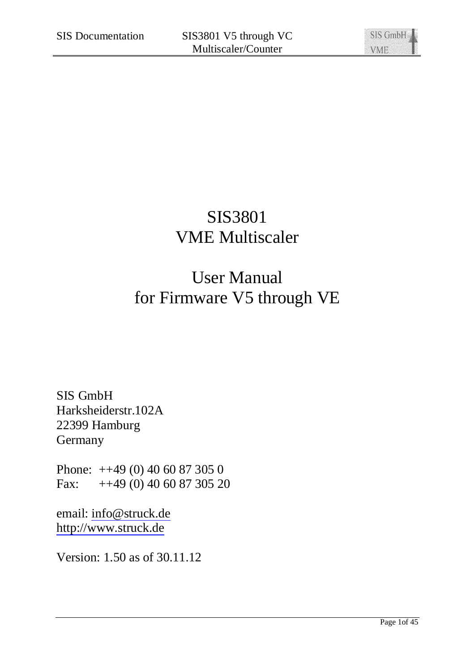# SIS3801 VME Multiscaler

# User Manual for Firmware V5 through VE

SIS GmbH Harksheiderstr.102A 22399 Hamburg **Germany** 

Phone: ++49 (0) 40 60 87 305 0 Fax: ++49 (0) 40 60 87 305 20

email: [info@struck.de](mailto:info@struck.de) <http://www.struck.de>

Version: 1.50 as of 30.11.12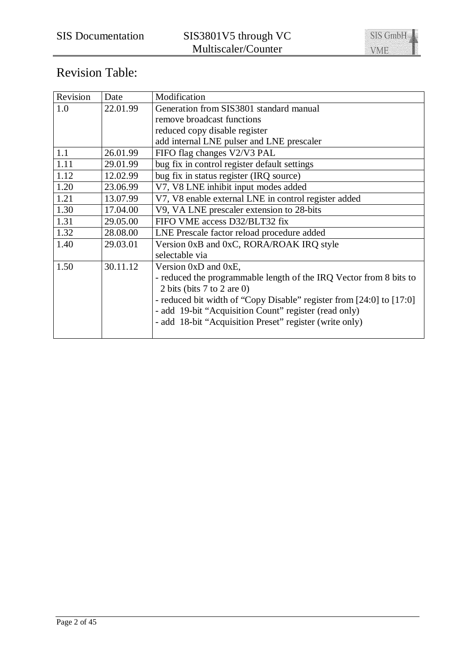

# Revision Table:

| Revision | Date     | Modification                                                         |
|----------|----------|----------------------------------------------------------------------|
| 1.0      | 22.01.99 | Generation from SIS3801 standard manual                              |
|          |          | remove broadcast functions                                           |
|          |          | reduced copy disable register                                        |
|          |          | add internal LNE pulser and LNE prescaler                            |
| 1.1      | 26.01.99 | FIFO flag changes V2/V3 PAL                                          |
| 1.11     | 29.01.99 | bug fix in control register default settings                         |
| 1.12     | 12.02.99 | bug fix in status register (IRQ source)                              |
| 1.20     | 23.06.99 | V7, V8 LNE inhibit input modes added                                 |
| 1.21     | 13.07.99 | V7, V8 enable external LNE in control register added                 |
| 1.30     | 17.04.00 | V9, VA LNE prescaler extension to 28-bits                            |
| 1.31     | 29.05.00 | FIFO VME access D32/BLT32 fix                                        |
| 1.32     | 28.08.00 | LNE Prescale factor reload procedure added                           |
| 1.40     | 29.03.01 | Version 0xB and 0xC, RORA/ROAK IRQ style                             |
|          |          | selectable via                                                       |
| 1.50     | 30.11.12 | Version $0xD$ and $0xE$ ,                                            |
|          |          | - reduced the programmable length of the IRQ Vector from 8 bits to   |
|          |          | 2 bits (bits $7$ to $2$ are 0)                                       |
|          |          | - reduced bit width of "Copy Disable" register from [24:0] to [17:0] |
|          |          | - add 19-bit "Acquisition Count" register (read only)                |
|          |          | - add 18-bit "Acquisition Preset" register (write only)              |
|          |          |                                                                      |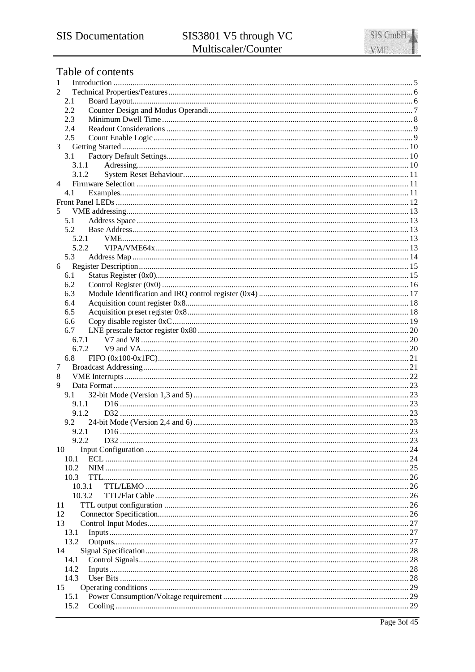# Table of contents

| 1            |  |
|--------------|--|
| 2            |  |
| 2.1          |  |
| 2.2          |  |
| 2.3          |  |
| 2.4<br>2.5   |  |
| 3            |  |
| 3.1          |  |
| 3.1.1        |  |
| 3.1.2        |  |
| 4            |  |
| 4.1          |  |
|              |  |
| 5            |  |
| 5.1          |  |
| 5.2          |  |
| 5.2.1        |  |
| 5.2.2        |  |
| 5.3          |  |
| 6            |  |
| 6.1          |  |
| 6.2          |  |
| 6.3          |  |
| 6.4<br>6.5   |  |
| 6.6          |  |
| 6.7          |  |
| 6.7.1        |  |
| 6.7.2        |  |
| 6.8          |  |
| 7            |  |
| 8            |  |
| 9            |  |
| 9.1          |  |
| 9.1.1        |  |
| 9.1.2        |  |
| 9.2          |  |
| 9.2.1        |  |
| 9.2.2        |  |
| 10<br>10.1   |  |
| 10.2         |  |
| 10.3         |  |
| 10.3.1       |  |
| 10.3.2       |  |
| 11           |  |
| 12           |  |
| 13           |  |
| 13.1         |  |
| 13.2         |  |
| 14           |  |
| 14.1         |  |
| 14.2         |  |
| 14.3         |  |
| 15           |  |
| 15.1<br>15.2 |  |
|              |  |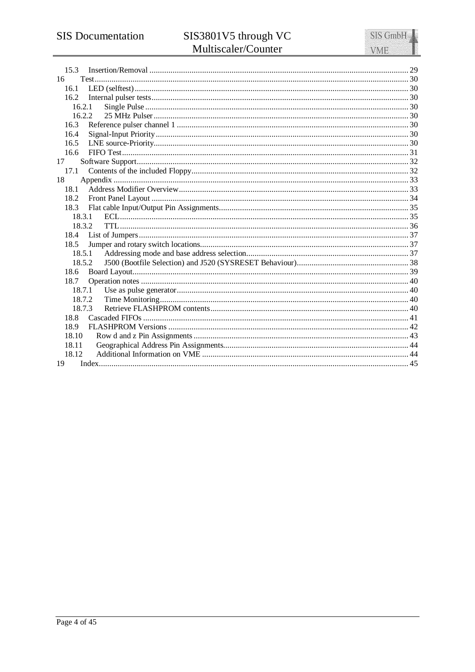| 15.3   |  |
|--------|--|
| 16     |  |
| 16.1   |  |
|        |  |
| 16.2.1 |  |
| 16.2.2 |  |
| 16.3   |  |
| 16.4   |  |
| 16.5   |  |
| 16.6   |  |
| 17     |  |
| 17.1   |  |
| 18     |  |
| 18.1   |  |
| 18.2   |  |
| 18.3   |  |
| 18.3.1 |  |
| 18.3.2 |  |
| 18.5   |  |
| 18.5.1 |  |
| 18.5.2 |  |
| 18.6   |  |
| 18.7   |  |
| 18.7.1 |  |
| 18.7.2 |  |
| 18.7.3 |  |
| 18.8   |  |
| 18.9   |  |
| 18.10  |  |
| 18.11  |  |
| 18.12  |  |
| 19     |  |
|        |  |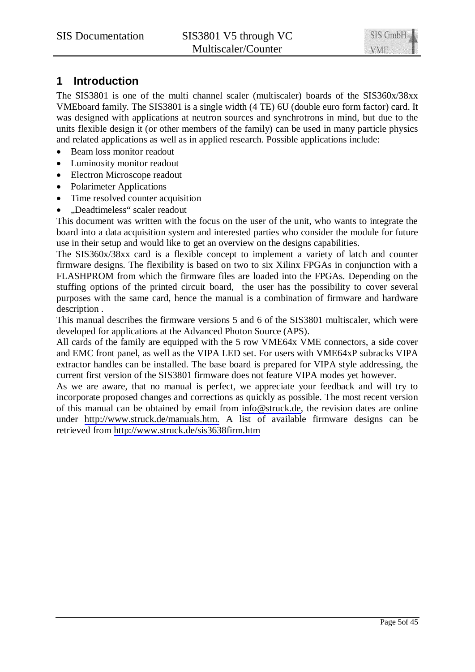# **1 Introduction**

The SIS3801 is one of the multi channel scaler (multiscaler) boards of the SIS360x/38xx VMEboard family. The SIS3801 is a single width (4 TE) 6U (double euro form factor) card. It was designed with applications at neutron sources and synchrotrons in mind, but due to the units flexible design it (or other members of the family) can be used in many particle physics and related applications as well as in applied research. Possible applications include:

- Beam loss monitor readout
- Luminosity monitor readout
- Electron Microscope readout
- Polarimeter Applications
- Time resolved counter acquisition
- x "Deadtimeless" scaler readout

This document was written with the focus on the user of the unit, who wants to integrate the board into a data acquisition system and interested parties who consider the module for future use in their setup and would like to get an overview on the designs capabilities.

The SIS360x/38xx card is a flexible concept to implement a variety of latch and counter firmware designs. The flexibility is based on two to six Xilinx FPGAs in conjunction with a FLASHPROM from which the firmware files are loaded into the FPGAs. Depending on the stuffing options of the printed circuit board, the user has the possibility to cover several purposes with the same card, hence the manual is a combination of firmware and hardware description .

This manual describes the firmware versions 5 and 6 of the SIS3801 multiscaler, which were developed for applications at the Advanced Photon Source (APS).

All cards of the family are equipped with the 5 row VME64x VME connectors, a side cover and EMC front panel, as well as the VIPA LED set. For users with VME64xP subracks VIPA extractor handles can be installed. The base board is prepared for VIPA style addressing, the current first version of the SIS3801 firmware does not feature VIPA modes yet however.

As we are aware, that no manual is perfect, we appreciate your feedback and will try to incorporate proposed changes and corrections as quickly as possible. The most recent version of this manual can be obtained by email from [info@struck.de](mailto:info@struck.de), the revision dates are online under <http://www.struck.de/manuals.htm.> A list of available firmware designs can be retrieved from <http://www.struck.de/sis3638firm.htm>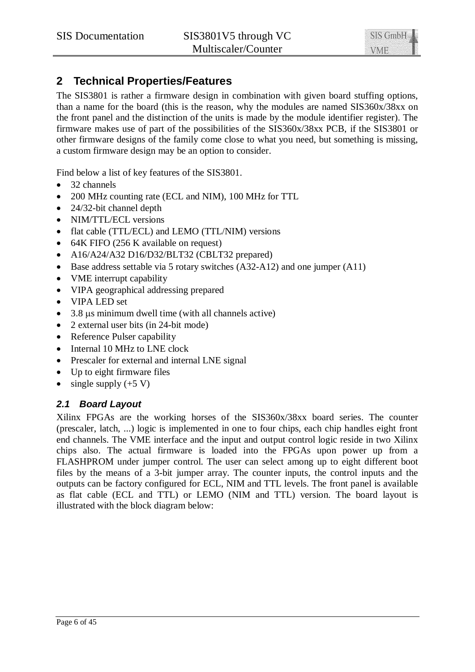# **2 Technical Properties/Features**

The SIS3801 is rather a firmware design in combination with given board stuffing options, than a name for the board (this is the reason, why the modules are named SIS360x/38xx on the front panel and the distinction of the units is made by the module identifier register). The firmware makes use of part of the possibilities of the SIS360x/38xx PCB, if the SIS3801 or other firmware designs of the family come close to what you need, but something is missing, a custom firmware design may be an option to consider.

Find below a list of key features of the SIS3801.

- $\bullet$  32 channels
- 200 MHz counting rate (ECL and NIM), 100 MHz for TTL
- $\bullet$  24/32-bit channel depth
- NIM/TTL/ECL versions
- flat cable (TTL/ECL) and LEMO (TTL/NIM) versions
- $\bullet$  64K FIFO (256 K available on request)
- A16/A24/A32 D16/D32/BLT32 (CBLT32 prepared)
- $\bullet$  Base address settable via 5 rotary switches (A32-A12) and one jumper (A11)
- VME interrupt capability
- VIPA geographical addressing prepared
- VIPA LED set
- $\bullet$  3.8  $\mu$ s minimum dwell time (with all channels active)
- $\bullet$  2 external user bits (in 24-bit mode)
- $\bullet$  Reference Pulser capability
- Internal 10 MHz to LNE clock
- Prescaler for external and internal LNE signal
- $\bullet$  Up to eight firmware files
- single supply  $(+5 V)$

# *2.1 Board Layout*

Xilinx FPGAs are the working horses of the SIS360x/38xx board series. The counter (prescaler, latch, ...) logic is implemented in one to four chips, each chip handles eight front end channels. The VME interface and the input and output control logic reside in two Xilinx chips also. The actual firmware is loaded into the FPGAs upon power up from a FLASHPROM under jumper control. The user can select among up to eight different boot files by the means of a 3-bit jumper array. The counter inputs, the control inputs and the outputs can be factory configured for ECL, NIM and TTL levels. The front panel is available as flat cable (ECL and TTL) or LEMO (NIM and TTL) version. The board layout is illustrated with the block diagram below: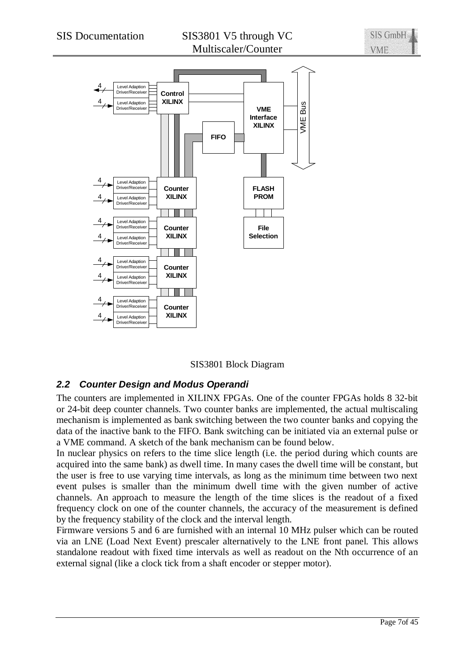

SIS3801 Block Diagram

# *2.2 Counter Design and Modus Operandi*

The counters are implemented in XILINX FPGAs. One of the counter FPGAs holds 8 32-bit or 24-bit deep counter channels. Two counter banks are implemented, the actual multiscaling mechanism is implemented as bank switching between the two counter banks and copying the data of the inactive bank to the FIFO. Bank switching can be initiated via an external pulse or a VME command. A sketch of the bank mechanism can be found below.

In nuclear physics on refers to the time slice length (i.e. the period during which counts are acquired into the same bank) as dwell time. In many cases the dwell time will be constant, but the user is free to use varying time intervals, as long as the minimum time between two next event pulses is smaller than the minimum dwell time with the given number of active channels. An approach to measure the length of the time slices is the readout of a fixed frequency clock on one of the counter channels, the accuracy of the measurement is defined by the frequency stability of the clock and the interval length.

Firmware versions 5 and 6 are furnished with an internal 10 MHz pulser which can be routed via an LNE (Load Next Event) prescaler alternatively to the LNE front panel. This allows standalone readout with fixed time intervals as well as readout on the Nth occurrence of an external signal (like a clock tick from a shaft encoder or stepper motor).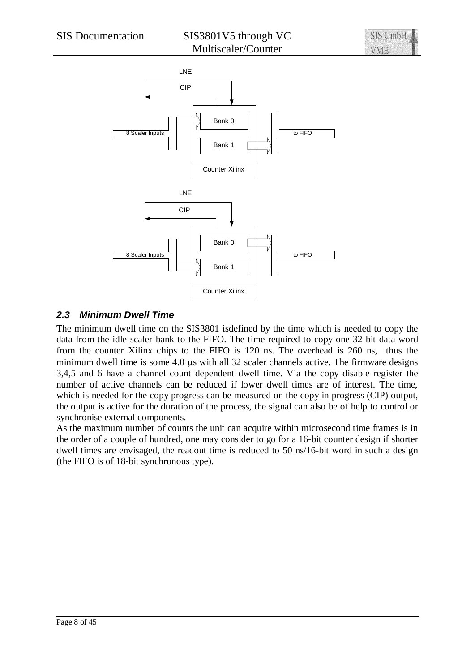

# *2.3 Minimum Dwell Time*

The minimum dwell time on the SIS3801 isdefined by the time which is needed to copy the data from the idle scaler bank to the FIFO. The time required to copy one 32-bit data word from the counter Xilinx chips to the FIFO is 120 ns. The overhead is 260 ns, thus the minimum dwell time is some  $4.0 \text{ }\mu\text{s}$  with all 32 scaler channels active. The firmware designs 3,4,5 and 6 have a channel count dependent dwell time. Via the copy disable register the number of active channels can be reduced if lower dwell times are of interest. The time, which is needed for the copy progress can be measured on the copy in progress (CIP) output, the output is active for the duration of the process, the signal can also be of help to control or synchronise external components.

As the maximum number of counts the unit can acquire within microsecond time frames is in the order of a couple of hundred, one may consider to go for a 16-bit counter design if shorter dwell times are envisaged, the readout time is reduced to 50 ns/16-bit word in such a design (the FIFO is of 18-bit synchronous type).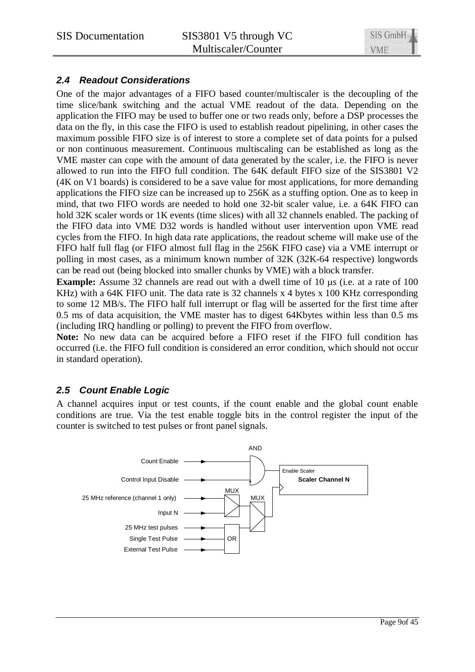

# *2.4 Readout Considerations*

One of the major advantages of a FIFO based counter/multiscaler is the decoupling of the time slice/bank switching and the actual VME readout of the data. Depending on the application the FIFO may be used to buffer one or two reads only, before a DSP processes the data on the fly, in this case the FIFO is used to establish readout pipelining, in other cases the maximum possible FIFO size is of interest to store a complete set of data points for a pulsed or non continuous measurement. Continuous multiscaling can be established as long as the VME master can cope with the amount of data generated by the scaler, i.e. the FIFO is never allowed to run into the FIFO full condition. The 64K default FIFO size of the SIS3801 V2 (4K on V1 boards) is considered to be a save value for most applications, for more demanding applications the FIFO size can be increased up to 256K as a stuffing option. One as to keep in mind, that two FIFO words are needed to hold one 32-bit scaler value, i.e. a 64K FIFO can hold 32K scaler words or 1K events (time slices) with all 32 channels enabled. The packing of the FIFO data into VME D32 words is handled without user intervention upon VME read cycles from the FIFO. In high data rate applications, the readout scheme will make use of the FIFO half full flag (or FIFO almost full flag in the 256K FIFO case) via a VME interrupt or polling in most cases, as a minimum known number of 32K (32K-64 respective) longwords can be read out (being blocked into smaller chunks by VME) with a block transfer.

**Example:** Assume 32 channels are read out with a dwell time of 10 us (i.e. at a rate of 100 KHz) with a 64K FIFO unit. The data rate is 32 channels x 4 bytes x 100 KHz corresponding to some 12 MB/s. The FIFO half full interrupt or flag will be asserted for the first time after 0.5 ms of data acquisition, the VME master has to digest 64Kbytes within less than 0.5 ms (including IRQ handling or polling) to prevent the FIFO from overflow.

**Note:** No new data can be acquired before a FIFO reset if the FIFO full condition has occurred (i.e. the FIFO full condition is considered an error condition, which should not occur in standard operation).

# *2.5 Count Enable Logic*

A channel acquires input or test counts, if the count enable and the global count enable conditions are true. Via the test enable toggle bits in the control register the input of the counter is switched to test pulses or front panel signals.

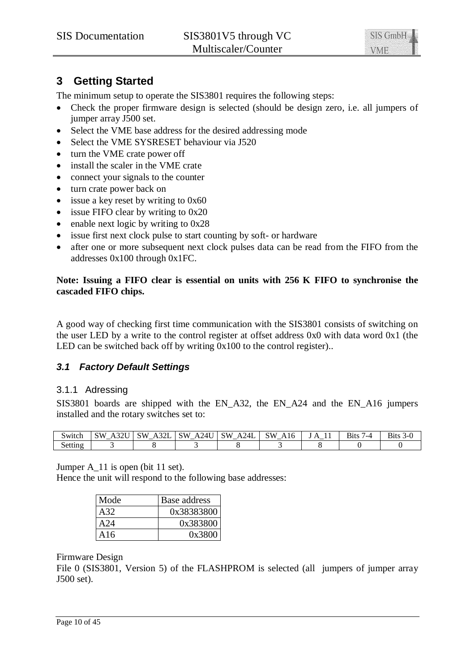

# **3 Getting Started**

The minimum setup to operate the SIS3801 requires the following steps:

- Check the proper firmware design is selected (should be design zero, i.e. all jumpers of jumper array J500 set.
- Select the VME base address for the desired addressing mode
- Select the VME SYSRESET behaviour via J520
- turn the VME crate power off
- install the scaler in the VME crate
- $\bullet$  connect your signals to the counter
- turn crate power back on
- $\bullet$  issue a key reset by writing to 0x60
- $\bullet$  issue FIFO clear by writing to 0x20
- $\bullet$  enable next logic by writing to 0x28
- $\bullet$  issue first next clock pulse to start counting by soft- or hardware
- after one or more subsequent next clock pulses data can be read from the FIFO from the addresses 0x100 through 0x1FC.

## **Note: Issuing a FIFO clear is essential on units with 256 K FIFO to synchronise the cascaded FIFO chips.**

A good way of checking first time communication with the SIS3801 consists of switching on the user LED by a write to the control register at offset address 0x0 with data word 0x1 (the LED can be switched back off by writing  $0x100$  to the control register)..

# *3.1 Factory Default Settings*

## 3.1.1 Adressing

SIS3801 boards are shipped with the EN\_A32, the EN\_A24 and the EN\_A16 jumpers installed and the rotary switches set to:

| Switch  | $\triangle$ TT<br><b>SW</b> | $\mathbf{a}$<br>SW<br>А<br>AJZL<br>– | <b>SW</b><br>A24U | 24L<br><b>SW</b><br>ΑĽ | <b>SW</b><br>$\sim$<br>A <sub>10</sub><br>ັ | $^{\prime}$<br>. .<br>$\overline{\phantom{0}}$ | <b>Bits</b><br>2∟ ' | n. |
|---------|-----------------------------|--------------------------------------|-------------------|------------------------|---------------------------------------------|------------------------------------------------|---------------------|----|
| setting |                             |                                      |                   |                        |                                             |                                                |                     |    |

Jumper A\_11 is open (bit 11 set).

Hence the unit will respond to the following base addresses:

| Mode | Base address |
|------|--------------|
| A32. | 0x38383800   |
| A24  | 0x383800     |
| A16  | 0x3800       |

#### Firmware Design

File 0 (SIS3801, Version 5) of the FLASHPROM is selected (all jumpers of jumper array J500 set).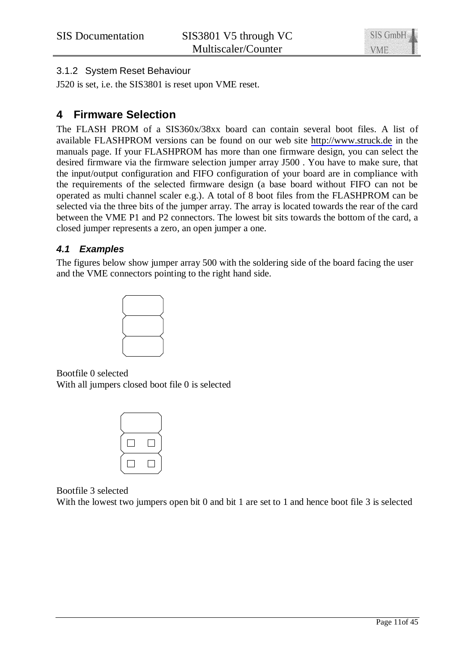# 3.1.2 System Reset Behaviour

J520 is set, i.e. the SIS3801 is reset upon VME reset.

# **4 Firmware Selection**

The FLASH PROM of a SIS360x/38xx board can contain several boot files. A list of available FLASHPROM versions can be found on our web site <http://www.struck.de>in the manuals page. If your FLASHPROM has more than one firmware design, you can select the desired firmware via the firmware selection jumper array J500 . You have to make sure, that the input/output configuration and FIFO configuration of your board are in compliance with the requirements of the selected firmware design (a base board without FIFO can not be operated as multi channel scaler e.g.). A total of 8 boot files from the FLASHPROM can be selected via the three bits of the jumper array. The array is located towards the rear of the card between the VME P1 and P2 connectors. The lowest bit sits towards the bottom of the card, a closed jumper represents a zero, an open jumper a one.

# *4.1 Examples*

The figures below show jumper array 500 with the soldering side of the board facing the user and the VME connectors pointing to the right hand side.



Bootfile 0 selected With all jumpers closed boot file 0 is selected

Bootfile 3 selected

With the lowest two jumpers open bit 0 and bit 1 are set to 1 and hence boot file 3 is selected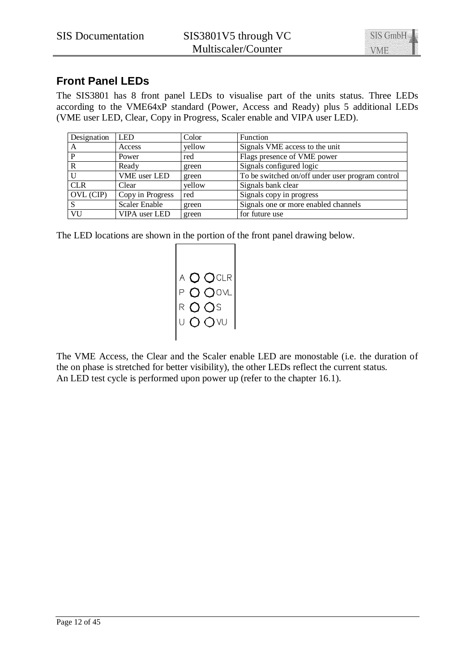

# **Front Panel LEDs**

The SIS3801 has 8 front panel LEDs to visualise part of the units status. Three LEDs according to the VME64xP standard (Power, Access and Ready) plus 5 additional LEDs (VME user LED, Clear, Copy in Progress, Scaler enable and VIPA user LED).

| Designation  | <b>LED</b>           | Color  | Function                                         |
|--------------|----------------------|--------|--------------------------------------------------|
| A            | Access               | yellow | Signals VME access to the unit                   |
| P            | Power                | red    | Flags presence of VME power                      |
| $\mathbb{R}$ | Ready                | green  | Signals configured logic                         |
|              | VME user LED         | green  | To be switched on/off under user program control |
| <b>CLR</b>   | Clear                | yellow | Signals bank clear                               |
| OVL (CIP)    | Copy in Progress     | red    | Signals copy in progress                         |
|              | <b>Scaler Enable</b> | green  | Signals one or more enabled channels             |
| VU           | VIPA user LED        | green  | for future use                                   |

The LED locations are shown in the portion of the front panel drawing below.



The VME Access, the Clear and the Scaler enable LED are monostable (i.e. the duration of the on phase is stretched for better visibility), the other LEDs reflect the current status. An LED test cycle is performed upon power up (refer to the chapter 16.1).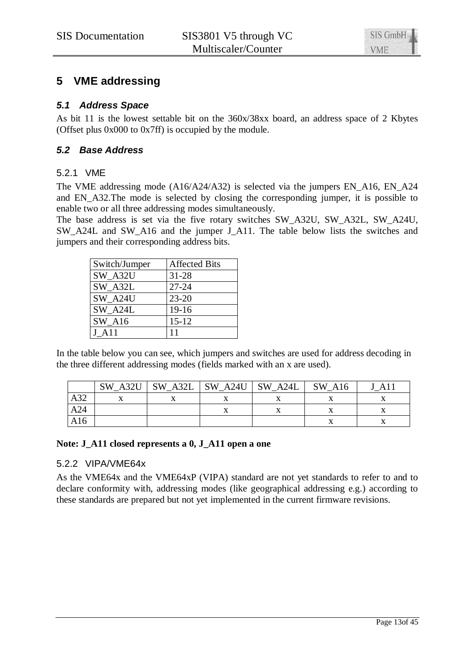# **5 VME addressing**

## *5.1 Address Space*

As bit 11 is the lowest settable bit on the 360x/38xx board, an address space of 2 Kbytes (Offset plus 0x000 to 0x7ff) is occupied by the module.

# *5.2 Base Address*

# 5.2.1 VME

The VME addressing mode (A16/A24/A32) is selected via the jumpers EN\_A16, EN\_A24 and EN A32. The mode is selected by closing the corresponding jumper, it is possible to enable two or all three addressing modes simultaneously.

The base address is set via the five rotary switches SW\_A32U, SW\_A32L, SW\_A24U, SW\_A24L and SW\_A16 and the jumper J\_A11. The table below lists the switches and jumpers and their corresponding address bits.

| Switch/Jumper       | <b>Affected Bits</b> |
|---------------------|----------------------|
| SW A32U             | $31 - 28$            |
| SW A32L             | $27 - 24$            |
| SW A24U             | $23 - 20$            |
| SW A24L             | $19-16$              |
| <b>SW A16</b>       | $15 - 12$            |
| $J$ A <sub>11</sub> | 11                   |

In the table below you can see, which jumpers and switches are used for address decoding in the three different addressing modes (fields marked with an x are used).

|     | SW A32U | SW A32L | $\vert$ SW A24U | SW A24L | SW A16 | A11 |
|-----|---------|---------|-----------------|---------|--------|-----|
| A32 |         |         |                 |         |        |     |
| A24 |         |         |                 |         |        |     |
| A16 |         |         |                 |         |        |     |

#### **Note: J\_A11 closed represents a 0, J\_A11 open a one**

## 5.2.2 VIPA/VME64x

As the VME64x and the VME64xP (VIPA) standard are not yet standards to refer to and to declare conformity with, addressing modes (like geographical addressing e.g.) according to these standards are prepared but not yet implemented in the current firmware revisions.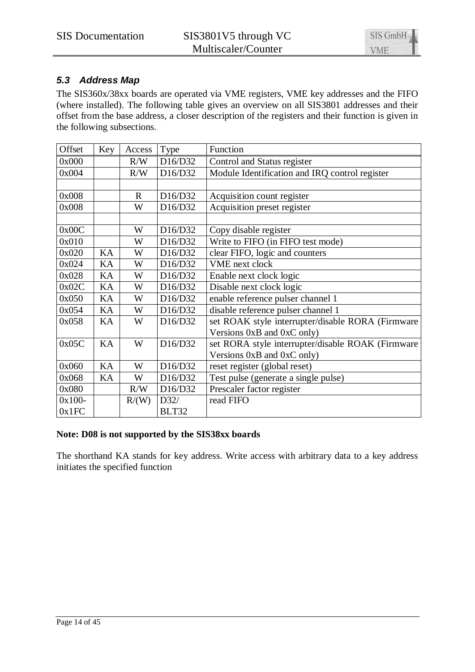

# *5.3 Address Map*

The SIS360x/38xx boards are operated via VME registers, VME key addresses and the FIFO (where installed). The following table gives an overview on all SIS3801 addresses and their offset from the base address, a closer description of the registers and their function is given in the following subsections.

| Offset    | Key | Access      | Type    | Function                                          |
|-----------|-----|-------------|---------|---------------------------------------------------|
| 0x000     |     | R/W         | D16/D32 | Control and Status register                       |
| 0x004     |     | R/W         | D16/D32 | Module Identification and IRQ control register    |
|           |     |             |         |                                                   |
| 0x008     |     | $\mathbf R$ | D16/D32 | Acquisition count register                        |
| 0x008     |     | W           | D16/D32 | Acquisition preset register                       |
|           |     |             |         |                                                   |
| 0x00C     |     | W           | D16/D32 | Copy disable register                             |
| 0x010     |     | W           | D16/D32 | Write to FIFO (in FIFO test mode)                 |
| 0x020     | KA  | W           | D16/D32 | clear FIFO, logic and counters                    |
| 0x024     | KA  | W           | D16/D32 | <b>VME</b> next clock                             |
| 0x028     | KA  | W           | D16/D32 | Enable next clock logic                           |
| 0x02C     | KA  | W           | D16/D32 | Disable next clock logic                          |
| 0x050     | KA  | W           | D16/D32 | enable reference pulser channel 1                 |
| 0x054     | KA  | W           | D16/D32 | disable reference pulser channel 1                |
| 0x058     | KA  | W           | D16/D32 | set ROAK style interrupter/disable RORA (Firmware |
|           |     |             |         | Versions 0xB and 0xC only)                        |
| 0x05C     | KA  | W           | D16/D32 | set RORA style interrupter/disable ROAK (Firmware |
|           |     |             |         | Versions 0xB and 0xC only)                        |
| 0x060     | KA  | W           | D16/D32 | reset register (global reset)                     |
| 0x068     | KA  | W           | D16/D32 | Test pulse (generate a single pulse)              |
| 0x080     |     | R/W         | D16/D32 | Prescaler factor register                         |
| $0x100 -$ |     | R/(W)       | D32/    | read FIFO                                         |
| 0x1FC     |     |             | BLT32   |                                                   |

# **Note: D08 is not supported by the SIS38xx boards**

The shorthand KA stands for key address. Write access with arbitrary data to a key address initiates the specified function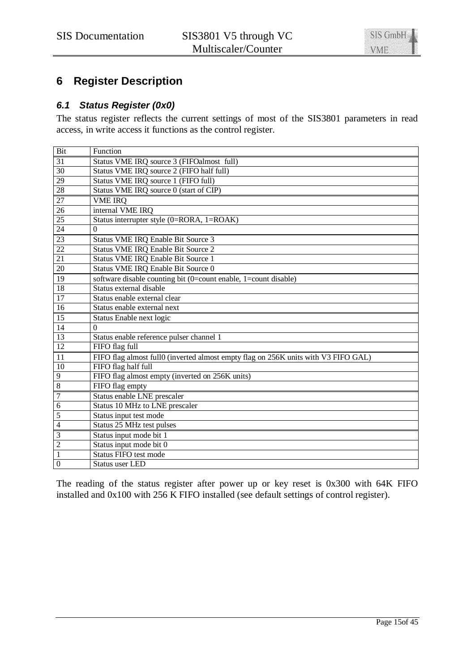

# **6 Register Description**

# *6.1 Status Register (0x0)*

The status register reflects the current settings of most of the SIS3801 parameters in read access, in write access it functions as the control register.

| Bit              | Function                                                                           |
|------------------|------------------------------------------------------------------------------------|
| 31               | Status VME IRQ source 3 (FIFOalmost full)                                          |
| 30               | Status VME IRQ source 2 (FIFO half full)                                           |
| 29               | Status VME IRQ source 1 (FIFO full)                                                |
| 28               | Status VME IRQ source 0 (start of CIP)                                             |
| 27               | <b>VME IRQ</b>                                                                     |
| 26               | internal VME IRQ                                                                   |
| 25               | Status interrupter style (0=RORA, 1=ROAK)                                          |
| 24               | 0                                                                                  |
| 23               | Status VME IRQ Enable Bit Source 3                                                 |
| $\overline{22}$  | <b>Status VME IRQ Enable Bit Source 2</b>                                          |
| 21               | Status VME IRQ Enable Bit Source 1                                                 |
| 20               | Status VME IRQ Enable Bit Source 0                                                 |
| 19               | software disable counting bit (0=count enable, 1=count disable)                    |
| $\overline{18}$  | Status external disable                                                            |
| 17               | Status enable external clear                                                       |
| 16               | Status enable external next                                                        |
| 15               | Status Enable next logic                                                           |
| 14               | $\Omega$                                                                           |
| 13               | Status enable reference pulser channel 1                                           |
| 12               | FIFO flag full                                                                     |
| 11               | FIFO flag almost full0 (inverted almost empty flag on 256K units with V3 FIFO GAL) |
| 10               | FIFO flag half full                                                                |
| 9                | FIFO flag almost empty (inverted on 256K units)                                    |
| $\overline{8}$   | FIFO flag empty                                                                    |
| $\boldsymbol{7}$ | Status enable LNE prescaler                                                        |
| $\overline{6}$   | Status 10 MHz to LNE prescaler                                                     |
| 5                | Status input test mode                                                             |
| $\overline{4}$   | Status 25 MHz test pulses                                                          |
| $\mathfrak{Z}$   | Status input mode bit 1                                                            |
| $\overline{c}$   | Status input mode bit 0                                                            |
| $\mathbf{1}$     | Status FIFO test mode                                                              |
| $\overline{0}$   | <b>Status user LED</b>                                                             |

The reading of the status register after power up or key reset is 0x300 with 64K FIFO installed and  $0x100$  with 256 K FIFO installed (see default settings of control register).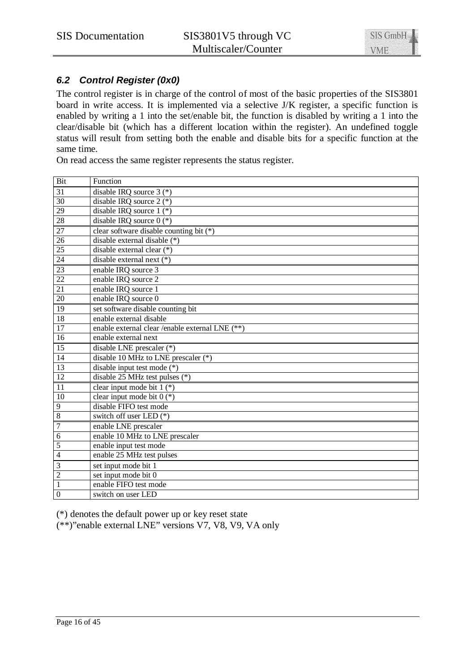# *6.2 Control Register (0x0)*

The control register is in charge of the control of most of the basic properties of the SIS3801 board in write access. It is implemented via a selective J/K register, a specific function is enabled by writing a 1 into the set/enable bit, the function is disabled by writing a 1 into the clear/disable bit (which has a different location within the register). An undefined toggle status will result from setting both the enable and disable bits for a specific function at the same time.

On read access the same register represents the status register.

| Bit             | Function                                        |
|-----------------|-------------------------------------------------|
| 31              | disable IRQ source $3$ (*)                      |
| 30              | disable IRQ source $2$ (*)                      |
| $\overline{29}$ | disable IRQ source $1$ (*)                      |
| 28              | disable IRQ source $0$ (*)                      |
| 27              | clear software disable counting bit (*)         |
| $\overline{26}$ | disable external disable $(*)$                  |
| $\overline{25}$ | disable external clear (*)                      |
| 24              | disable external next $(*)$                     |
| 23              | enable IRQ source 3                             |
| $\overline{22}$ | enable IRQ source 2                             |
| 21              | enable IRQ source 1                             |
| 20              | enable IRQ source 0                             |
| 19              | set software disable counting bit               |
| 18              | enable external disable                         |
| 17              | enable external clear /enable external LNE (**) |
| 16              | enable external next                            |
| $\overline{15}$ | disable LNE prescaler (*)                       |
| 14              | disable 10 MHz to LNE prescaler $(*)$           |
| 13              | disable input test mode $(*)$                   |
| $\overline{12}$ | disable 25 MHz test pulses $(*)$                |
| 11              | clear input mode bit $1$ (*)                    |
| 10              | clear input mode bit $0$ (*)                    |
| 9               | disable FIFO test mode                          |
| $\overline{8}$  | switch off user LED (*)                         |
| 7               | enable LNE prescaler                            |
| $\overline{6}$  | enable 10 MHz to LNE prescaler                  |
| 5               | enable input test mode                          |
| $\overline{4}$  | enable 25 MHz test pulses                       |
| 3               | set input mode bit 1                            |
| $\overline{2}$  | set input mode bit 0                            |
| $\mathbf{1}$    | enable FIFO test mode                           |
| $\overline{0}$  | switch on user LED                              |

(\*) denotes the default power up or key reset state

(\*\*)"enable external LNE" versions V7, V8, V9, VA only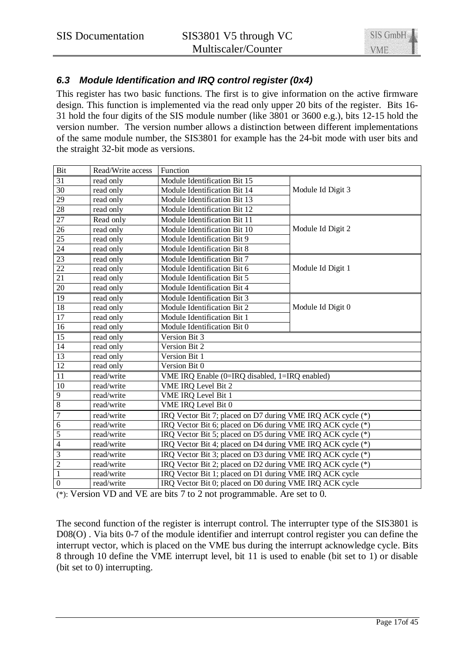# *6.3 Module Identification and IRQ control register (0x4)*

This register has two basic functions. The first is to give information on the active firmware design. This function is implemented via the read only upper 20 bits of the register. Bits 16- 31 hold the four digits of the SIS module number (like 3801 or 3600 e.g.), bits 12-15 hold the version number. The version number allows a distinction between different implementations of the same module number, the SIS3801 for example has the 24-bit mode with user bits and the straight 32-bit mode as versions.

| Bit                     | Read/Write access | Function                                                    |                   |  |  |  |  |  |
|-------------------------|-------------------|-------------------------------------------------------------|-------------------|--|--|--|--|--|
| $\overline{31}$         | read only         | Module Identification Bit 15                                |                   |  |  |  |  |  |
| 30                      | read only         | Module Identification Bit 14                                | Module Id Digit 3 |  |  |  |  |  |
| 29                      | read only         | Module Identification Bit 13                                |                   |  |  |  |  |  |
| 28                      | read only         | Module Identification Bit 12                                |                   |  |  |  |  |  |
| $\overline{27}$         | Read only         | Module Identification Bit 11                                |                   |  |  |  |  |  |
| $\overline{26}$         | read only         | Module Identification Bit 10<br>Module Id Digit 2           |                   |  |  |  |  |  |
| 25                      | read only         | Module Identification Bit 9                                 |                   |  |  |  |  |  |
| $\overline{24}$         | read only         | Module Identification Bit 8                                 |                   |  |  |  |  |  |
| 23                      | read only         | Module Identification Bit 7                                 |                   |  |  |  |  |  |
| $22\,$                  | read only         | Module Identification Bit 6                                 | Module Id Digit 1 |  |  |  |  |  |
| 21                      | read only         | Module Identification Bit 5                                 |                   |  |  |  |  |  |
| 20                      | read only         | Module Identification Bit 4                                 |                   |  |  |  |  |  |
| $\overline{19}$         | read only         | Module Identification Bit 3                                 |                   |  |  |  |  |  |
| 18                      | read only         | Module Identification Bit 2<br>Module Id Digit 0            |                   |  |  |  |  |  |
| $\overline{17}$         | read only         | Module Identification Bit 1                                 |                   |  |  |  |  |  |
| $\overline{16}$         | read only         | Module Identification Bit 0                                 |                   |  |  |  |  |  |
| 15                      | read only         | Version Bit 3                                               |                   |  |  |  |  |  |
| 14                      | read only         | Version Bit 2                                               |                   |  |  |  |  |  |
| 13                      | read only         | Version Bit 1                                               |                   |  |  |  |  |  |
| $\overline{12}$         | read only         | Version Bit 0                                               |                   |  |  |  |  |  |
| $\overline{11}$         | read/write        | VME IRQ Enable (0=IRQ disabled, 1=IRQ enabled)              |                   |  |  |  |  |  |
| 10                      | read/write        | VME IRQ Level Bit 2                                         |                   |  |  |  |  |  |
| $\overline{9}$          | read/write        | <b>VME IRQ</b> Level Bit 1                                  |                   |  |  |  |  |  |
| $\boldsymbol{8}$        | read/write        | VME IRQ Level Bit 0                                         |                   |  |  |  |  |  |
| $\overline{7}$          | read/write        | IRQ Vector Bit 7; placed on D7 during VME IRQ ACK cycle (*) |                   |  |  |  |  |  |
| $\overline{6}$          | read/write        | IRQ Vector Bit 6; placed on D6 during VME IRQ ACK cycle (*) |                   |  |  |  |  |  |
| 5                       | read/write        | IRQ Vector Bit 5; placed on D5 during VME IRQ ACK cycle (*) |                   |  |  |  |  |  |
| $\overline{4}$          | read/write        | IRQ Vector Bit 4; placed on D4 during VME IRQ ACK cycle (*) |                   |  |  |  |  |  |
| $\overline{\mathbf{3}}$ | read/write        | IRQ Vector Bit 3; placed on D3 during VME IRQ ACK cycle (*) |                   |  |  |  |  |  |
| $\overline{2}$          | read/write        | IRQ Vector Bit 2; placed on D2 during VME IRQ ACK cycle (*) |                   |  |  |  |  |  |
| $\overline{1}$          | read/write        | IRQ Vector Bit 1; placed on D1 during VME IRQ ACK cycle     |                   |  |  |  |  |  |
| $\boldsymbol{0}$        | read/write        | IRQ Vector Bit 0; placed on D0 during VME IRQ ACK cycle     |                   |  |  |  |  |  |

(\*): Version VD and VE are bits 7 to 2 not programmable. Are set to 0.

The second function of the register is interrupt control. The interrupter type of the SIS3801 is D08(O). Via bits 0-7 of the module identifier and interrupt control register you can define the interrupt vector, which is placed on the VME bus during the interrupt acknowledge cycle. Bits 8 through 10 define the VME interrupt level, bit 11 is used to enable (bit set to 1) or disable (bit set to 0) interrupting.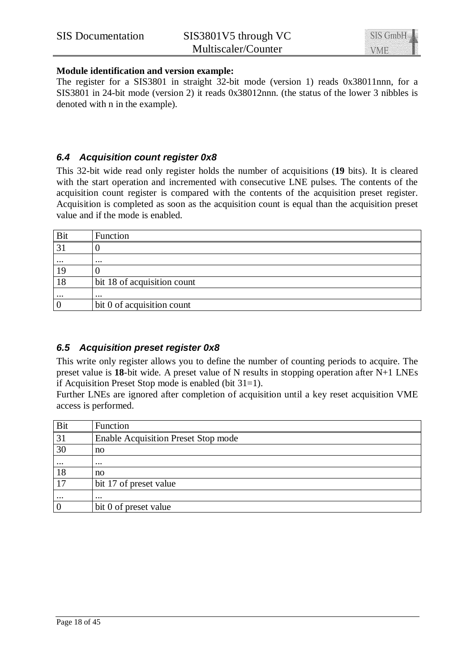#### **Module identification and version example:**

The register for a SIS3801 in straight 32-bit mode (version 1) reads 0x38011nnn, for a SIS3801 in 24-bit mode (version 2) it reads 0x38012nnn. (the status of the lower 3 nibbles is denoted with n in the example).

# *6.4 Acquisition count register 0x8*

This 32-bit wide read only register holds the number of acquisitions (**19** bits). It is cleared with the start operation and incremented with consecutive LNE pulses. The contents of the acquisition count register is compared with the contents of the acquisition preset register. Acquisition is completed as soon as the acquisition count is equal than the acquisition preset value and if the mode is enabled.

| <b>Bit</b> | Function                    |
|------------|-----------------------------|
| 31         |                             |
| $\cdots$   | $\cdots$                    |
|            |                             |
| 18         | bit 18 of acquisition count |
| $\cdots$   | $\cdots$                    |
|            | bit 0 of acquisition count  |

# *6.5 Acquisition preset register 0x8*

This write only register allows you to define the number of counting periods to acquire. The preset value is **18**-bit wide. A preset value of N results in stopping operation after N+1 LNEs if Acquisition Preset Stop mode is enabled (bit 31=1).

Further LNEs are ignored after completion of acquisition until a key reset acquisition VME access is performed.

| Bit             | Function                                   |
|-----------------|--------------------------------------------|
| $\overline{31}$ | <b>Enable Acquisition Preset Stop mode</b> |
| 30              | no                                         |
| $\cdots$        | $\cdots$                                   |
| 18              | no                                         |
| 17              | bit 17 of preset value                     |
| $\cdots$        | $\cdots$                                   |
|                 | bit 0 of preset value                      |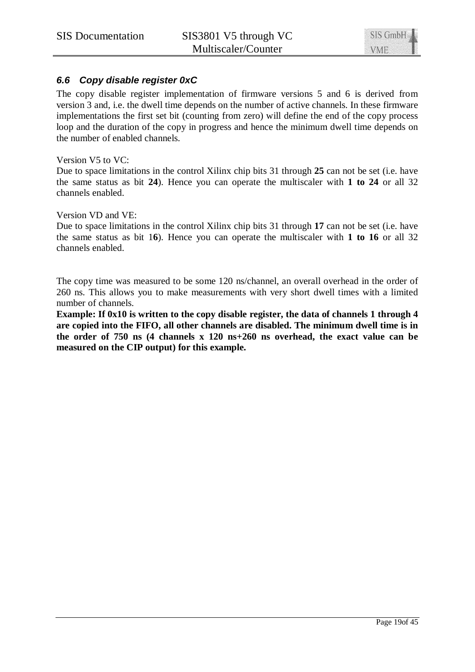# *6.6 Copy disable register 0xC*

The copy disable register implementation of firmware versions 5 and 6 is derived from version 3 and, i.e. the dwell time depends on the number of active channels. In these firmware implementations the first set bit (counting from zero) will define the end of the copy process loop and the duration of the copy in progress and hence the minimum dwell time depends on the number of enabled channels.

#### Version V5 to VC:

Due to space limitations in the control Xilinx chip bits 31 through **25** can not be set (i.e. have the same status as bit **24**). Hence you can operate the multiscaler with **1 to 24** or all 32 channels enabled.

#### Version VD and VE:

Due to space limitations in the control Xilinx chip bits 31 through **17** can not be set (i.e. have the same status as bit 1**6**). Hence you can operate the multiscaler with **1 to 16** or all 32 channels enabled.

The copy time was measured to be some 120 ns/channel, an overall overhead in the order of 260 ns. This allows you to make measurements with very short dwell times with a limited number of channels.

**Example: If 0x10 is written to the copy disable register, the data of channels 1 through 4 are copied into the FIFO, all other channels are disabled. The minimum dwell time is in the order of 750 ns (4 channels x 120 ns+260 ns overhead, the exact value can be measured on the CIP output) for this example.**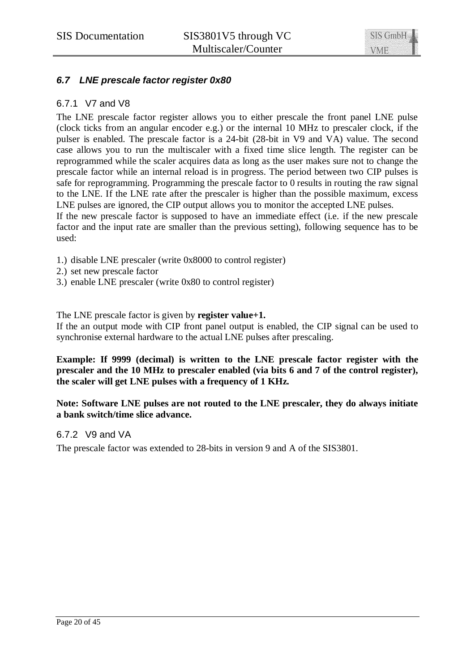

# *6.7 LNE prescale factor register 0x80*

## 6.7.1 V7 and V8

The LNE prescale factor register allows you to either prescale the front panel LNE pulse (clock ticks from an angular encoder e.g.) or the internal 10 MHz to prescaler clock, if the pulser is enabled. The prescale factor is a 24-bit (28-bit in V9 and VA) value. The second case allows you to run the multiscaler with a fixed time slice length. The register can be reprogrammed while the scaler acquires data as long as the user makes sure not to change the prescale factor while an internal reload is in progress. The period between two CIP pulses is safe for reprogramming. Programming the prescale factor to 0 results in routing the raw signal to the LNE. If the LNE rate after the prescaler is higher than the possible maximum, excess LNE pulses are ignored, the CIP output allows you to monitor the accepted LNE pulses.

If the new prescale factor is supposed to have an immediate effect (i.e. if the new prescale factor and the input rate are smaller than the previous setting), following sequence has to be used:

- 1.) disable LNE prescaler (write 0x8000 to control register)
- 2.) set new prescale factor
- 3.) enable LNE prescaler (write 0x80 to control register)

#### The LNE prescale factor is given by **register value+1.**

If the an output mode with CIP front panel output is enabled, the CIP signal can be used to synchronise external hardware to the actual LNE pulses after prescaling.

**Example: If 9999 (decimal) is written to the LNE prescale factor register with the prescaler and the 10 MHz to prescaler enabled (via bits 6 and 7 of the control register), the scaler will get LNE pulses with a frequency of 1 KHz.**

**Note: Software LNE pulses are not routed to the LNE prescaler, they do always initiate a bank switch/time slice advance.**

#### 6.7.2 V9 and VA

The prescale factor was extended to 28-bits in version 9 and A of the SIS3801.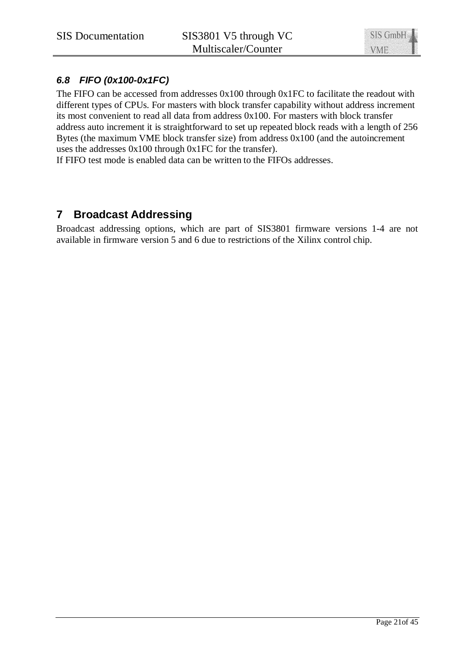# *6.8 FIFO (0x100-0x1FC)*

The FIFO can be accessed from addresses 0x100 through 0x1FC to facilitate the readout with different types of CPUs. For masters with block transfer capability without address increment its most convenient to read all data from address 0x100. For masters with block transfer address auto increment it is straightforward to set up repeated block reads with a length of 256 Bytes (the maximum VME block transfer size) from address 0x100 (and the autoincrement uses the addresses 0x100 through 0x1FC for the transfer).

If FIFO test mode is enabled data can be written to the FIFOs addresses.

# **7 Broadcast Addressing**

Broadcast addressing options, which are part of SIS3801 firmware versions 1-4 are not available in firmware version 5 and 6 due to restrictions of the Xilinx control chip.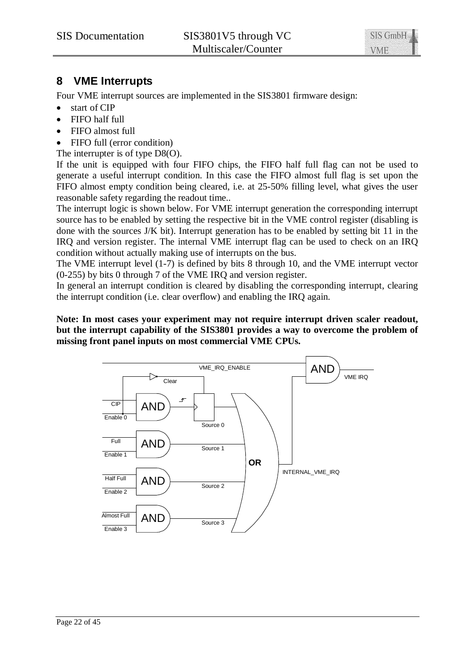# **8 VME Interrupts**

Four VME interrupt sources are implemented in the SIS3801 firmware design:

- $\bullet$  start of CIP
- $\bullet$  FIFO half full
- FIFO almost full
- FIFO full (error condition)

The interrupter is of type D8(O).

If the unit is equipped with four FIFO chips, the FIFO half full flag can not be used to generate a useful interrupt condition. In this case the FIFO almost full flag is set upon the FIFO almost empty condition being cleared, i.e. at 25-50% filling level, what gives the user reasonable safety regarding the readout time..

The interrupt logic is shown below. For VME interrupt generation the corresponding interrupt source has to be enabled by setting the respective bit in the VME control register (disabling is done with the sources J/K bit). Interrupt generation has to be enabled by setting bit 11 in the IRQ and version register. The internal VME interrupt flag can be used to check on an IRQ condition without actually making use of interrupts on the bus.

The VME interrupt level (1-7) is defined by bits 8 through 10, and the VME interrupt vector (0-255) by bits 0 through 7 of the VME IRQ and version register.

In general an interrupt condition is cleared by disabling the corresponding interrupt, clearing the interrupt condition (i.e. clear overflow) and enabling the IRQ again.

**Note: In most cases your experiment may not require interrupt driven scaler readout, but the interrupt capability of the SIS3801 provides a way to overcome the problem of missing front panel inputs on most commercial VME CPUs.**

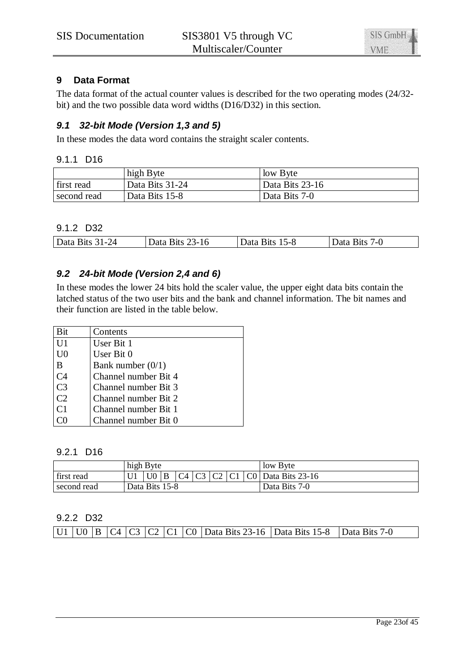

# **9 Data Format**

The data format of the actual counter values is described for the two operating modes (24/32 bit) and the two possible data word widths (D16/D32) in this section.

# *9.1 32-bit Mode (Version 1,3 and 5)*

In these modes the data word contains the straight scaler contents.

#### 9.1.1 D16

|             | high Byte       | low Byte        |
|-------------|-----------------|-----------------|
| first read  | Data Bits 31-24 | Data Bits 23-16 |
| second read | Data Bits 15-8  | Data Bits 7-0   |

# 9.1.2 D32

| Data Bits<br>31-24 | 23-16<br>31ts | $15 - 8$<br>Bits!<br>Data | /-U<br>⊀1†s |
|--------------------|---------------|---------------------------|-------------|
|                    |               |                           |             |

# *9.2 24-bit Mode (Version 2,4 and 6)*

In these modes the lower 24 bits hold the scaler value, the upper eight data bits contain the latched status of the two user bits and the bank and channel information. The bit names and their function are listed in the table below.

| Bit            | Contents             |
|----------------|----------------------|
| U <sub>1</sub> | User Bit 1           |
| U <sub>0</sub> | User Bit 0           |
| B              | Bank number $(0/1)$  |
| C <sub>4</sub> | Channel number Bit 4 |
| C <sub>3</sub> | Channel number Bit 3 |
| C <sub>2</sub> | Channel number Bit 2 |
| C <sub>1</sub> | Channel number Bit 1 |
|                | Channel number Bit 0 |

#### 9.2.1 D16

|             | high Byte      |                |              |  |  |  |  | low Byte                           |
|-------------|----------------|----------------|--------------|--|--|--|--|------------------------------------|
| first read  |                | U <sub>0</sub> | $\mathbf{B}$ |  |  |  |  | $ C4 C3 C2 C1 C0 $ Data Bits 23-16 |
| second read | Data Bits 15-8 |                |              |  |  |  |  | Data Bits 7-0                      |

## 9.2.2 D32

|  |  |  |  |  |  |  |  |  | U1   U0   B   C4   C3   C2   C1   C0   Data Bits 23-16   Data Bits 15-8   Data Bits 7-0 |  |  |
|--|--|--|--|--|--|--|--|--|-----------------------------------------------------------------------------------------|--|--|
|--|--|--|--|--|--|--|--|--|-----------------------------------------------------------------------------------------|--|--|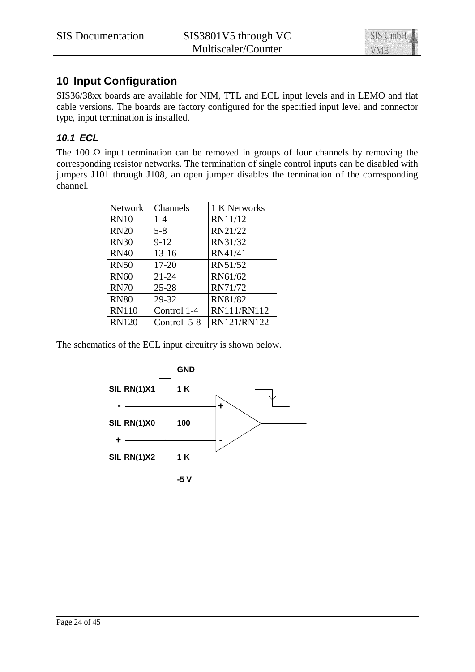

# **10 Input Configuration**

SIS36/38xx boards are available for NIM, TTL and ECL input levels and in LEMO and flat cable versions. The boards are factory configured for the specified input level and connector type, input termination is installed.

# *10.1 ECL*

The 100  $\Omega$  input termination can be removed in groups of four channels by removing the corresponding resistor networks. The termination of single control inputs can be disabled with jumpers J101 through J108, an open jumper disables the termination of the corresponding channel.

| Network      | Channels    | 1 K Networks |
|--------------|-------------|--------------|
| <b>RN10</b>  | $1 - 4$     | RN11/12      |
| <b>RN20</b>  | $5 - 8$     | RN21/22      |
| <b>RN30</b>  | $9-12$      | RN31/32      |
| <b>RN40</b>  | $13 - 16$   | RN41/41      |
| <b>RN50</b>  | $17 - 20$   | RN51/52      |
| <b>RN60</b>  | $21 - 24$   | RN61/62      |
| <b>RN70</b>  | $25 - 28$   | RN71/72      |
| <b>RN80</b>  | 29-32       | RN81/82      |
| <b>RN110</b> | Control 1-4 | RN111/RN112  |
| <b>RN120</b> | Control 5-8 | RN121/RN122  |

The schematics of the ECL input circuitry is shown below.

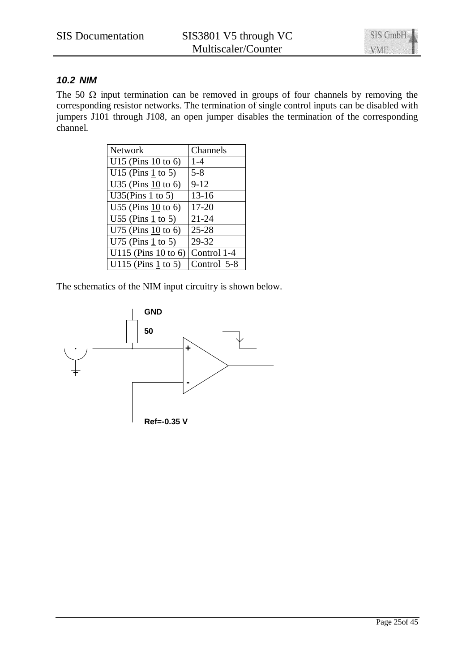

# *10.2 NIM*

The 50  $\Omega$  input termination can be removed in groups of four channels by removing the corresponding resistor networks. The termination of single control inputs can be disabled with jumpers J101 through J108, an open jumper disables the termination of the corresponding channel.

| <b>Network</b>       | Channels    |
|----------------------|-------------|
| U15 (Pins $10$ to 6) | $1 - 4$     |
| U15 (Pins $1$ to 5)  | $5 - 8$     |
| U35 (Pins $10$ to 6) | $9 - 12$    |
| U35(Pins $1$ to 5)   | $13 - 16$   |
| U55 (Pins $10$ to 6) | $17 - 20$   |
| U55 (Pins $1$ to 5)  | $21 - 24$   |
| U75 (Pins $10$ to 6) | $25 - 28$   |
| U75 (Pins $1$ to 5)  | 29-32       |
| U115 (Pins 10 to 6)  | Control 1-4 |
| U115 (Pins 1 to 5)   | Control 5-8 |

The schematics of the NIM input circuitry is shown below.

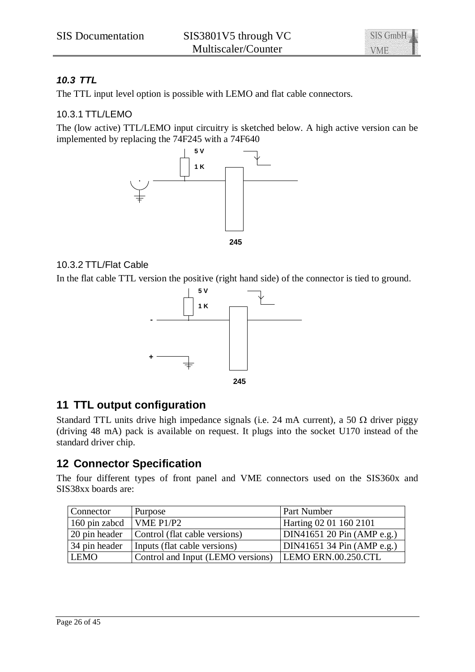

# *10.3 TTL*

The TTL input level option is possible with LEMO and flat cable connectors.

# 10.3.1 TTL/LEMO

The (low active) TTL/LEMO input circuitry is sketched below. A high active version can be implemented by replacing the 74F245 with a 74F640



# 10.3.2 TTL/Flat Cable

In the flat cable TTL version the positive (right hand side) of the connector is tied to ground.



# **11 TTL output configuration**

Standard TTL units drive high impedance signals (i.e. 24 mA current), a 50  $\Omega$  driver piggy (driving 48 mA) pack is available on request. It plugs into the socket U170 instead of the standard driver chip.

# **12 Connector Specification**

The four different types of front panel and VME connectors used on the SIS360x and SIS38xx boards are:

| Connector     | Purpose                                               | <b>Part Number</b>         |
|---------------|-------------------------------------------------------|----------------------------|
| 160 pin zabcd | VME $P1/P2$                                           | Harting 02 01 160 2101     |
| 20 pin header | Control (flat cable versions)                         | DIN41651 20 Pin (AMP e.g.) |
| 34 pin header | Inputs (flat cable versions)                          | DIN41651 34 Pin (AMP e.g.) |
| <b>LEMO</b>   | Control and Input (LEMO versions) LEMO ERN.00.250.CTL |                            |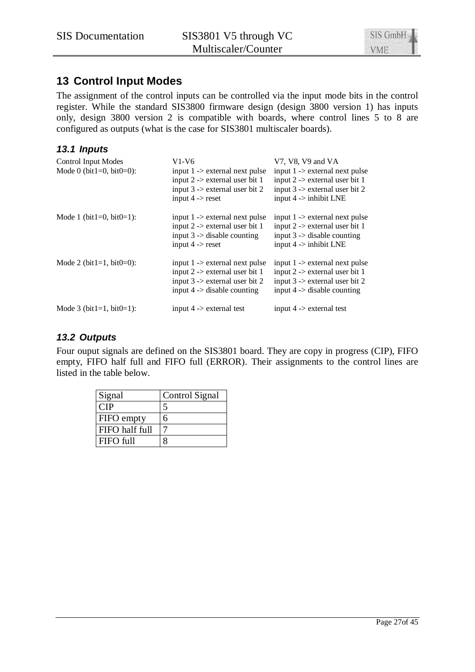# **13 Control Input Modes**

The assignment of the control inputs can be controlled via the input mode bits in the control register. While the standard SIS3800 firmware design (design 3800 version 1) has inputs only, design 3800 version 2 is compatible with boards, where control lines 5 to 8 are configured as outputs (what is the case for SIS3801 multiscaler boards).

# *13.1 Inputs*

| <b>Control Input Modes</b><br>Mode 0 (bit1=0, bit0=0): | $V1-V6$<br>input $1 \rightarrow$ external next pulse<br>input $2$ -> external user bit 1<br>input $3 \rightarrow$ external user bit 2<br>input $4 \rightarrow$ reset | V7, V8, V9 and VA<br>input $1$ -> external next pulse<br>input $2 \rightarrow$ external user bit 1<br>input $3 \rightarrow$ external user bit 2<br>input $4 \rightarrow$ inhibit LNE |
|--------------------------------------------------------|----------------------------------------------------------------------------------------------------------------------------------------------------------------------|--------------------------------------------------------------------------------------------------------------------------------------------------------------------------------------|
| Mode 1 ( $bit1=0$ , $bit0=1$ ):                        | input $1 \rightarrow$ external next pulse<br>input $2$ -> external user bit 1<br>input $3 \rightarrow$ disable counting<br>input $4 \rightarrow$ reset               | input $1 \rightarrow$ external next pulse<br>input $2 \rightarrow$ external user bit 1<br>input $3 \rightarrow$ disable counting<br>input $4 \rightarrow$ inhibit LNE                |
| Mode 2 (bit1=1, bit0=0):                               | input $1 \rightarrow$ external next pulse<br>input $2 \rightarrow$ external user bit 1<br>input $3 \rightarrow$ external user bit 2<br>input $4$ -> disable counting | input $1 \rightarrow$ external next pulse<br>input $2 \rightarrow$ external user bit 1<br>input $3 \rightarrow$ external user bit 2<br>input $4 \rightarrow$ disable counting        |
| Mode 3 (bit1=1, bit0=1):                               | input $4$ -> external test                                                                                                                                           | input $4 \rightarrow$ external test                                                                                                                                                  |

# *13.2 Outputs*

Four ouput signals are defined on the SIS3801 board. They are copy in progress (CIP), FIFO empty, FIFO half full and FIFO full (ERROR). Their assignments to the control lines are listed in the table below.

| Signal            | Control Signal |
|-------------------|----------------|
| ∩IΡ               |                |
| <b>FIFO</b> empty | n              |
| FIFO half full    |                |
| FIFO full         |                |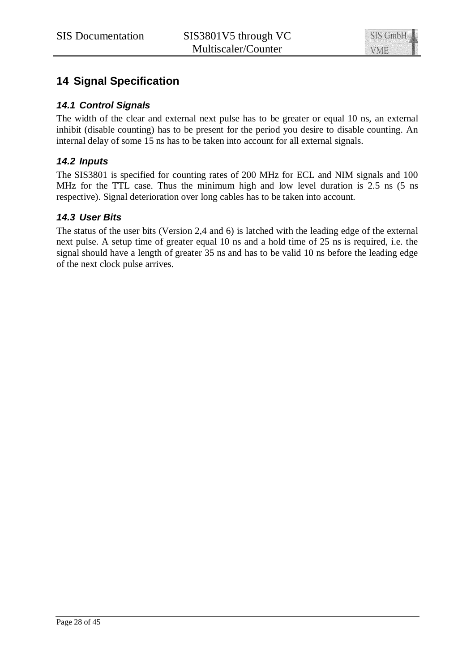# **14 Signal Specification**

# *14.1 Control Signals*

The width of the clear and external next pulse has to be greater or equal 10 ns, an external inhibit (disable counting) has to be present for the period you desire to disable counting. An internal delay of some 15 ns has to be taken into account for all external signals.

# *14.2 Inputs*

The SIS3801 is specified for counting rates of 200 MHz for ECL and NIM signals and 100 MHz for the TTL case. Thus the minimum high and low level duration is 2.5 ns (5 ns respective). Signal deterioration over long cables has to be taken into account.

# *14.3 User Bits*

The status of the user bits (Version 2,4 and 6) is latched with the leading edge of the external next pulse. A setup time of greater equal 10 ns and a hold time of 25 ns is required, i.e. the signal should have a length of greater 35 ns and has to be valid 10 ns before the leading edge of the next clock pulse arrives.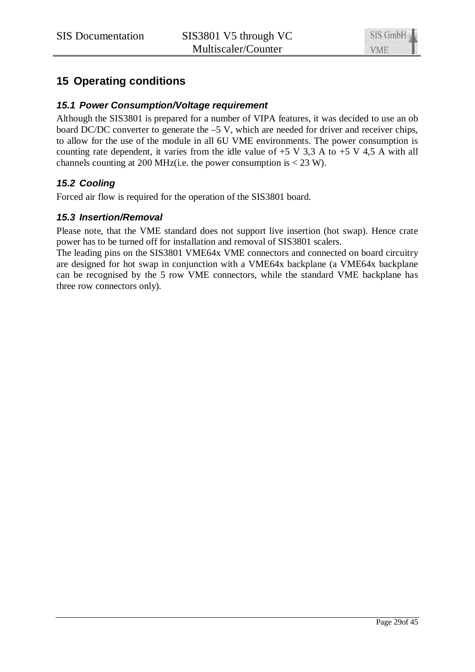# **15 Operating conditions**

# *15.1 Power Consumption/Voltage requirement*

Although the SIS3801 is prepared for a number of VIPA features, it was decided to use an ob board DC/DC converter to generate the –5 V, which are needed for driver and receiver chips, to allow for the use of the module in all 6U VME environments. The power consumption is counting rate dependent, it varies from the idle value of  $+5$  V 3,3 A to  $+5$  V 4,5 A with all channels counting at 200 MHz(i.e. the power consumption is  $<$  23 W).

# *15.2 Cooling*

Forced air flow is required for the operation of the SIS3801 board.

## *15.3 Insertion/Removal*

Please note, that the VME standard does not support live insertion (hot swap). Hence crate power has to be turned off for installation and removal of SIS3801 scalers.

The leading pins on the SIS3801 VME64x VME connectors and connected on board circuitry are designed for hot swap in conjunction with a VME64x backplane (a VME64x backplane can be recognised by the 5 row VME connectors, while the standard VME backplane has three row connectors only).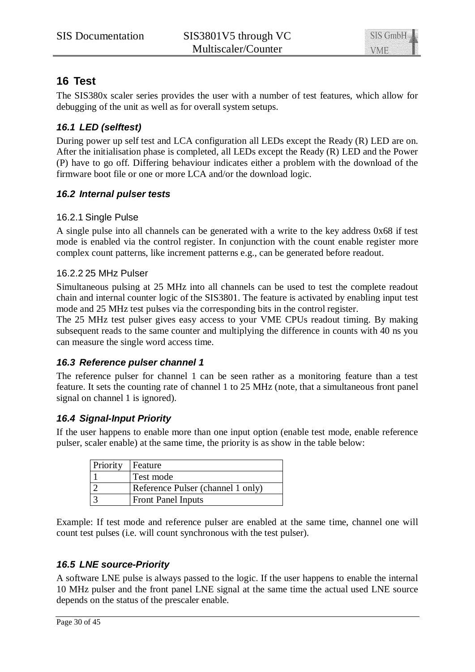

# **16 Test**

The SIS380x scaler series provides the user with a number of test features, which allow for debugging of the unit as well as for overall system setups.

# *16.1 LED (selftest)*

During power up self test and LCA configuration all LEDs except the Ready (R) LED are on. After the initialisation phase is completed, all LEDs except the Ready (R) LED and the Power (P) have to go off. Differing behaviour indicates either a problem with the download of the firmware boot file or one or more LCA and/or the download logic.

# *16.2 Internal pulser tests*

# 16.2.1 Single Pulse

A single pulse into all channels can be generated with a write to the key address 0x68 if test mode is enabled via the control register. In conjunction with the count enable register more complex count patterns, like increment patterns e.g., can be generated before readout.

# 16.2.2 25 MHz Pulser

Simultaneous pulsing at 25 MHz into all channels can be used to test the complete readout chain and internal counter logic of the SIS3801. The feature is activated by enabling input test mode and 25 MHz test pulses via the corresponding bits in the control register.

The 25 MHz test pulser gives easy access to your VME CPUs readout timing. By making subsequent reads to the same counter and multiplying the difference in counts with 40 ns you can measure the single word access time.

# *16.3 Reference pulser channel 1*

The reference pulser for channel 1 can be seen rather as a monitoring feature than a test feature. It sets the counting rate of channel 1 to 25 MHz (note, that a simultaneous front panel signal on channel 1 is ignored).

# *16.4 Signal-Input Priority*

If the user happens to enable more than one input option (enable test mode, enable reference pulser, scaler enable) at the same time, the priority is as show in the table below:

| Priority | Feature                           |
|----------|-----------------------------------|
|          | Test mode                         |
|          | Reference Pulser (channel 1 only) |
|          | <b>Front Panel Inputs</b>         |

Example: If test mode and reference pulser are enabled at the same time, channel one will count test pulses (i.e. will count synchronous with the test pulser).

# *16.5 LNE source-Priority*

A software LNE pulse is always passed to the logic. If the user happens to enable the internal 10 MHz pulser and the front panel LNE signal at the same time the actual used LNE source depends on the status of the prescaler enable.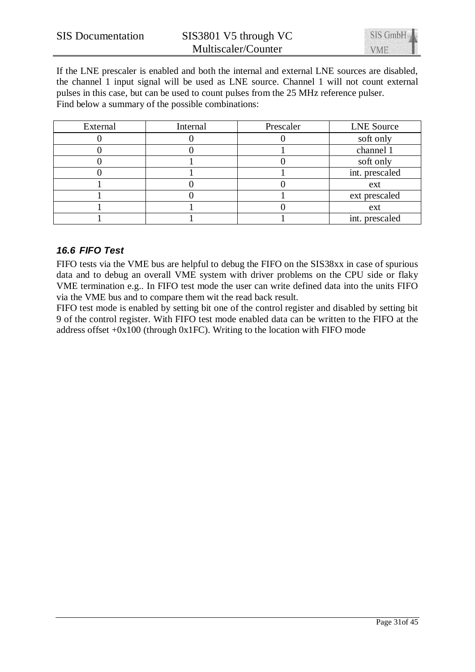

If the LNE prescaler is enabled and both the internal and external LNE sources are disabled, the channel 1 input signal will be used as LNE source. Channel 1 will not count external pulses in this case, but can be used to count pulses from the 25 MHz reference pulser. Find below a summary of the possible combinations:

| External | Internal | Prescaler | <b>LNE</b> Source |
|----------|----------|-----------|-------------------|
|          |          |           | soft only         |
|          |          |           | channel 1         |
|          |          |           | soft only         |
|          |          |           | int. prescaled    |
|          |          |           | ext               |
|          |          |           | ext prescaled     |
|          |          |           | ext               |
|          |          |           | int. prescaled    |

# *16.6 FIFO Test*

FIFO tests via the VME bus are helpful to debug the FIFO on the SIS38xx in case of spurious data and to debug an overall VME system with driver problems on the CPU side or flaky VME termination e.g.. In FIFO test mode the user can write defined data into the units FIFO via the VME bus and to compare them wit the read back result.

FIFO test mode is enabled by setting bit one of the control register and disabled by setting bit 9 of the control register. With FIFO test mode enabled data can be written to the FIFO at the address offset  $+0x100$  (through 0x1FC). Writing to the location with FIFO mode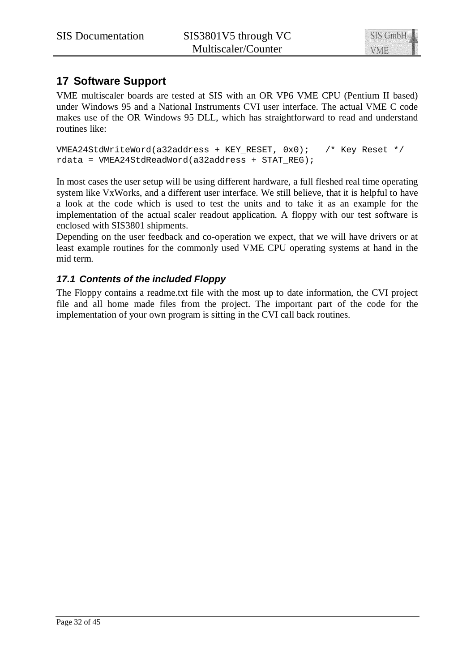# **17 Software Support**

VME multiscaler boards are tested at SIS with an OR VP6 VME CPU (Pentium II based) under Windows 95 and a National Instruments CVI user interface. The actual VME C code makes use of the OR Windows 95 DLL, which has straightforward to read and understand routines like:

```
VMEA24StdWriteWord(a32address + KEY RESET, 0x0); /* Key Reset */
rdata = VMEA24StdReadWord(a32address + STAT_REG);
```
In most cases the user setup will be using different hardware, a full fleshed real time operating system like VxWorks, and a different user interface. We still believe, that it is helpful to have a look at the code which is used to test the units and to take it as an example for the implementation of the actual scaler readout application. A floppy with our test software is enclosed with SIS3801 shipments.

Depending on the user feedback and co-operation we expect, that we will have drivers or at least example routines for the commonly used VME CPU operating systems at hand in the mid term.

# *17.1 Contents of the included Floppy*

The Floppy contains a readme.txt file with the most up to date information, the CVI project file and all home made files from the project. The important part of the code for the implementation of your own program is sitting in the CVI call back routines.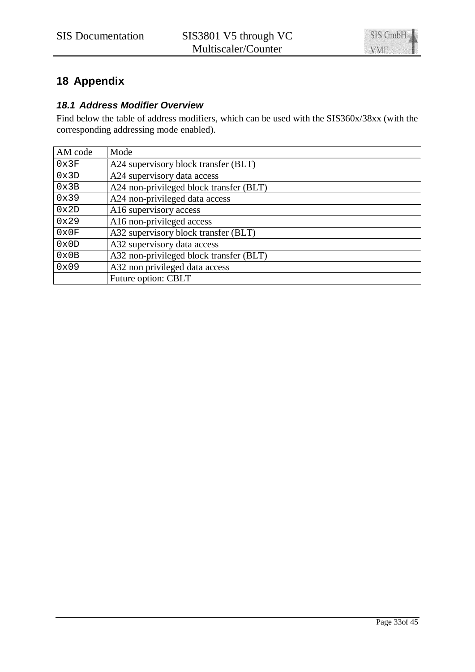# **18 Appendix**

# *18.1 Address Modifier Overview*

Find below the table of address modifiers, which can be used with the SIS360x/38xx (with the corresponding addressing mode enabled).

| AM code | Mode                                    |
|---------|-----------------------------------------|
| 0x3F    | A24 supervisory block transfer (BLT)    |
| 0x3D    | A24 supervisory data access             |
| 0x3B    | A24 non-privileged block transfer (BLT) |
| 0x39    | A24 non-privileged data access          |
| 0x2D    | A16 supervisory access                  |
| 0x29    | A16 non-privileged access               |
| 0x0F    | A32 supervisory block transfer (BLT)    |
| 0x0D    | A32 supervisory data access             |
| 0x0B    | A32 non-privileged block transfer (BLT) |
| 0x09    | A32 non privileged data access          |
|         | Future option: CBLT                     |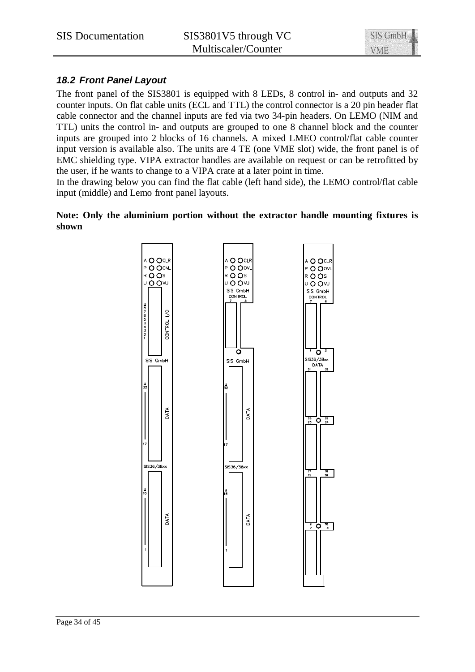

# *18.2 Front Panel Layout*

The front panel of the SIS3801 is equipped with 8 LEDs, 8 control in- and outputs and 32 counter inputs. On flat cable units (ECL and TTL) the control connector is a 20 pin header flat cable connector and the channel inputs are fed via two 34-pin headers. On LEMO (NIM and TTL) units the control in- and outputs are grouped to one 8 channel block and the counter inputs are grouped into 2 blocks of 16 channels. A mixed LMEO control/flat cable counter input version is available also. The units are 4 TE (one VME slot) wide, the front panel is of EMC shielding type. VIPA extractor handles are available on request or can be retrofitted by the user, if he wants to change to a VIPA crate at a later point in time.

In the drawing below you can find the flat cable (left hand side), the LEMO control/flat cable input (middle) and Lemo front panel layouts.

**Note: Only the aluminium portion without the extractor handle mounting fixtures is shown**

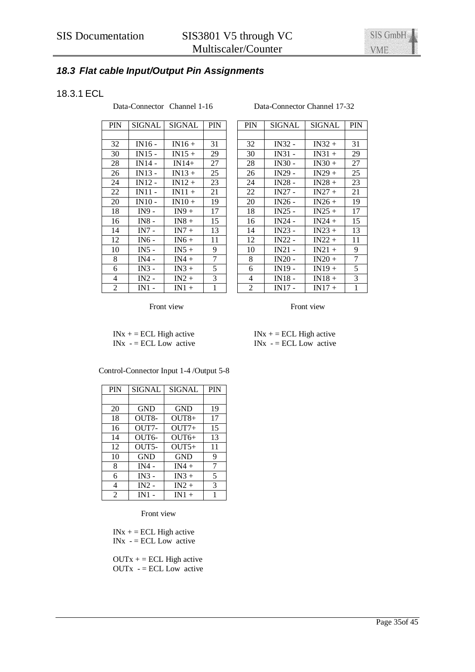# *18.3 Flat cable Input/Output Pin Assignments*

# 18.3.1 ECL

Data-Connector Channel 1-16 Data-Connector Channel 17-32

| <b>PIN</b>     | SIGNAL   | SIGNAL   | <b>PIN</b> |
|----------------|----------|----------|------------|
|                |          |          |            |
| 32             | $IN16 -$ | $IN16+$  | 31         |
| 30             | $IN15 -$ | $IN15 +$ | 29         |
| 28             | $IN14 -$ | $IN14+$  | 27         |
| 26             | $IN13 -$ | $IN13 +$ | 25         |
| 24             | $IN12 -$ | $IN12 +$ | 23         |
| 22             | $IN11 -$ | $IN11 +$ | 21         |
| 20             | $IN10 -$ | $IN10+$  | 19         |
| 18             | IN9 -    | $IN9+$   | 17         |
| 16             | $IN8 -$  | $IN8 +$  | 15         |
| 14             | IN7 -    | $IN7 +$  | 13         |
| 12             | IN6 -    | $IN6 +$  | 11         |
| 10             | IN5 -    | $IN5+$   | 9          |
| 8              | $IN4 -$  | $IN4 +$  | 7          |
| 6              | $IN3 -$  | $IN3 +$  | 5          |
| 4              | $IN2 -$  | $IN2 +$  | 3          |
| $\overline{2}$ | IN1      | $IN1 +$  | 1          |

#### PIN SIGNAL SIGNAL PIN 32 | IN16 - | IN16 + | 31 | | 32 | IN32 - | IN32 + | 31 30 IN31 - IN31 + 29 28 | IN14 - | IN14 + | 27 | | 28 | IN30 - | IN30 + | 27 26 IN29 - IN29 + 25<br>24 IN28 - IN28 + 23 24 | IN12 - | IN12 + | 23 | | 24 | IN28 - | IN28 + | 23  $22$  IN27 - IN27 + 21 20 **IN26 - IN26 + 19** 18 | IN25 - | IN25 + | 17  $16$  IN24 - IN24 + 15 14 | IN7 - | IN7 + | 13 | | 14 | IN23 - | IN23 + | 13  $12$  IN22 - IN22 + 11 10 | IN5 - | IN5 + | 9 | | 10 | IN21 - | IN21 + | 9 8 | IN4 - | IN4 + | 7 | | 8 | IN20 - | IN20 + | 7 6 IN19 - IN19 + 5  $4$  IN18 - IN18 + 3  $2$  IN17 - IN17 + 1

Front view Front view

 $INx + = ECL$  High active  $INx + = ECL$  High active  $INx - = ECL$  Low active  $INx - ECL$  Low active

| <b>PIN</b>     | <b>SIGNAL</b> | <b>SIGNAL</b> | <b>PIN</b> |
|----------------|---------------|---------------|------------|
|                |               |               |            |
| 20             | <b>GND</b>    | GND           | 19         |
| 18             | OUT8-         | $OUT8+$       | 17         |
| 16             | OUT7-         | $OUT7+$       | 15         |
| 14             | OUT6-         | $OUT6+$       | 13         |
| 12             | $OUT5-$       | $OUT5+$       | 11         |
| 10             | <b>GND</b>    | GND           | 9          |
| 8              | $IN4 -$       | $IN4 +$       | 7          |
| 6              | $IN3 -$       | $IN3 +$       | 5          |
| 4              | $IN2 -$       | $IN2 +$       | 3          |
| $\mathfrak{D}$ | $IN1$ -       | $IN1 +$       | 1          |

Control-Connector Input 1-4 /Output 5-8

Front view

 $INx + = ECL$  High active  $INx - ECL Low active$ 

 $OUTx += ECL$  High active  $OUTx - ECL Low active$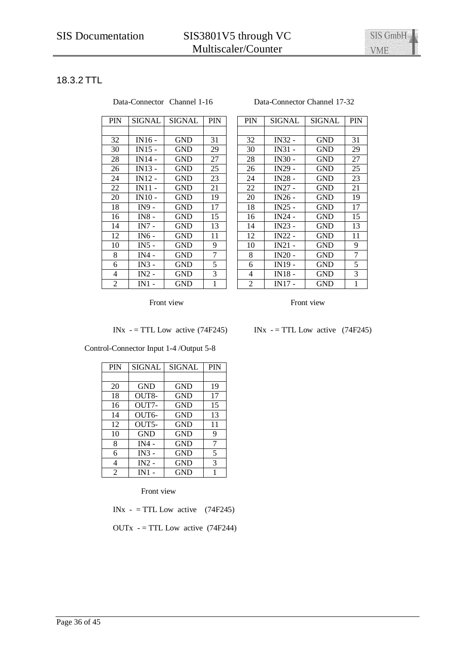# 18.3.2 TTL

| <b>PIN</b> | SIGNAL        | SIGNAL     | <b>PIN</b> |
|------------|---------------|------------|------------|
|            |               |            |            |
| 32         | IN16 -        | <b>GND</b> | 31         |
| 30         | $IN15 -$      | GND        | 29         |
| 28         | IN14 -        | <b>GND</b> | 27         |
| 26         | IN13 -        | GND        | 25         |
| 24         | <b>IN12 -</b> | GND        | 23         |
| 22         | $IN11 -$      | GND        | 21         |
| 20         | <b>IN10 -</b> | GND        | 19         |
| 18         | IN9 -         | GND        | 17         |
| 16         | <b>IN8 -</b>  | GND        | 15         |
| 14         | $IN7 -$       | GND        | 13         |
| 12         | IN6 -         | <b>GND</b> | 11         |
| 10         | $IN5 -$       | GND        | 9          |
| 8          | $IN4 -$       | <b>GND</b> | 7          |
| 6          | $IN3 -$       | <b>GND</b> | 5          |
| 4          | $IN2 -$       | GND        | 3          |
| 2          | $IN1 -$       | GND        | 1          |

#### Data-Connector Channel 1-16 Data-Connector Channel 17-32

| PIN | <b>SIGNAL</b> | SIGNAL     | <b>PIN</b> | <b>PIN</b>     | SIGNAL             | <b>SIGNAL</b> | PIN |
|-----|---------------|------------|------------|----------------|--------------------|---------------|-----|
|     |               |            |            |                |                    |               |     |
| 32  | $IN16 -$      | GND        | 31         | 32             | IN32 -             | <b>GND</b>    | 31  |
| 30  | $IN15 -$      | <b>GND</b> | 29         | 30             | $IN31 -$           | GND           | 29  |
| 28  | IN14 -        | <b>GND</b> | 27         | 28             | $IN30 -$           | <b>GND</b>    | 27  |
| 26  | IN13 -        | <b>GND</b> | 25         | 26             | IN29 -             | <b>GND</b>    | 25  |
| 24  | IN12 -        | <b>GND</b> | 23         | 24             | <b>IN28 -</b>      | GND           | 23  |
| 22  | IN11 -        | GND        | 21         | 22             | $IN27 -$           | GND           | 21  |
| 20  | IN10 -        | GND        | 19         | 20             | $IN26 -$           | GND           | 19  |
| 18  | $IN9 -$       | GND        | 17         | 18             | $IN25 -$           | GND           | 17  |
| 16  | $IN8 -$       | GND        | 15         | 16             | $IN24 -$           | GND           | 15  |
| 14  | $IN7 -$       | GND        | 13         | 14             | $IN23 -$           | GND           | 13  |
| 12  | IN6 -         | GND        | 11         | 12             | IN22 -             | GND           | 11  |
| 10  | $IN5 -$       | GND        | 9          | 10             | $IN21 -$           | GND           | 9   |
| 8   | IN4 -         | GND        | 7          | 8              | $IN20 -$           | GND           | 7   |
| 6   | $IN3 -$       | <b>GND</b> | 5          | 6              | IN <sub>19</sub> - | <b>GND</b>    | 5   |
| 4   | $IN2 -$       | <b>GND</b> | 3          | 4              | $IN18 -$           | <b>GND</b>    | 3   |
| 2   | $IN1$ -       | GND        | 1          | $\overline{2}$ | <b>IN17 -</b>      | GND           | 1   |

Front view Front view Front view

INx  $-$  = TTL Low active (74F245) INx  $-$  = TTL Low active (74F245)

Control-Connector Input 1-4 /Output 5-8

| <b>PIN</b>     | <b>SIGNAL</b> | <b>SIGNAL</b> | <b>PIN</b> |
|----------------|---------------|---------------|------------|
|                |               |               |            |
| 20             | <b>GND</b>    | GND           | 19         |
| 18             | OUT8-         | <b>GND</b>    | 17         |
| 16             | OUT7-         | <b>GND</b>    | 15         |
| 14             | OUT6-         | <b>GND</b>    | 13         |
| 12             | OUT5-         | <b>GND</b>    | 11         |
| 10             | <b>GND</b>    | <b>GND</b>    | 9          |
| 8              | $IN4 -$       | <b>GND</b>    | 7          |
| 6              | $IN3 -$       | <b>GND</b>    | 5          |
| 4              | $IN2 -$       | <b>GND</b>    | 3          |
| $\mathfrak{D}$ | IN1           | <b>GND</b>    |            |

Front view

INx -  $=$  TTL Low active (74F245)

OUTx  $-$  = TTL Low active (74F244)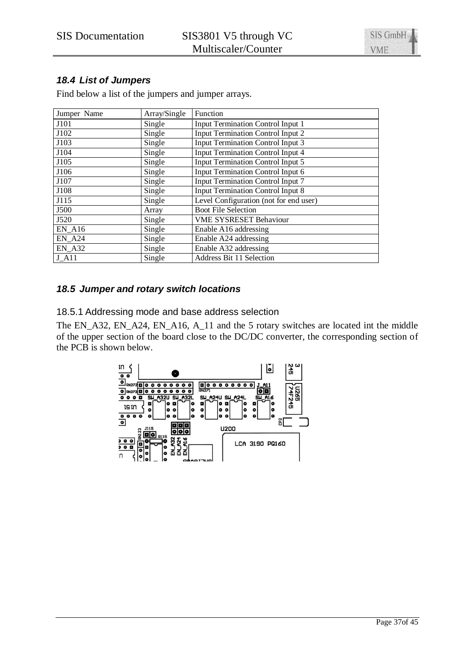# *18.4 List of Jumpers*

Find below a list of the jumpers and jumper arrays.

| Jumper Name   | Array/Single | Function                                 |
|---------------|--------------|------------------------------------------|
| J101          | Single       | <b>Input Termination Control Input 1</b> |
| J102          | Single       | <b>Input Termination Control Input 2</b> |
| J103          | Single       | <b>Input Termination Control Input 3</b> |
| J104          | Single       | Input Termination Control Input 4        |
| J105          | Single       | <b>Input Termination Control Input 5</b> |
| J106          | Single       | Input Termination Control Input 6        |
| J107          | Single       | <b>Input Termination Control Input 7</b> |
| J108          | Single       | <b>Input Termination Control Input 8</b> |
| J115          | Single       | Level Configuration (not for end user)   |
| J500          | Array        | <b>Boot File Selection</b>               |
| J520          | Single       | <b>VME SYSRESET Behaviour</b>            |
| <b>EN A16</b> | Single       | Enable A16 addressing                    |
| <b>EN A24</b> | Single       | Enable A24 addressing                    |
| EN A32        | Single       | Enable A32 addressing                    |
| <b>J</b> A11  | Single       | <b>Address Bit 11 Selection</b>          |

## *18.5 Jumper and rotary switch locations*

18.5.1 Addressing mode and base address selection

The EN\_A32, EN\_A24, EN\_A16, A\_11 and the 5 rotary switches are located int the middle of the upper section of the board close to the DC/DC converter, the corresponding section of the PCB is shown below.

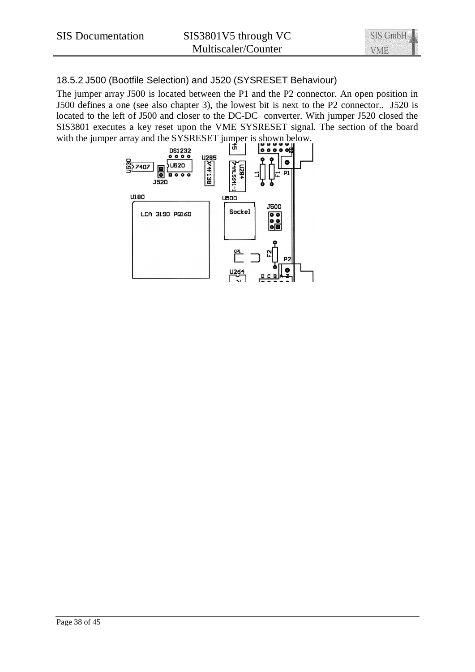# 18.5.2 J500 (Bootfile Selection) and J520 (SYSRESET Behaviour)

The jumper array J500 is located between the P1 and the P2 connector. An open position in J500 defines a one (see also chapter 3), the lowest bit is next to the P2 connector.. J520 is located to the left of J500 and closer to the DC-DC converter. With jumper J520 closed the SIS3801 executes a key reset upon the VME SYSRESET signal. The section of the board with the jumper array and the SYSRESET jumper is shown below.

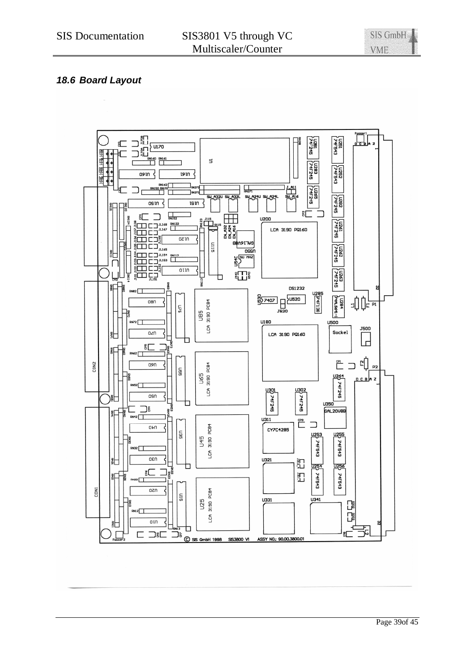# *18.6 Board Layout*

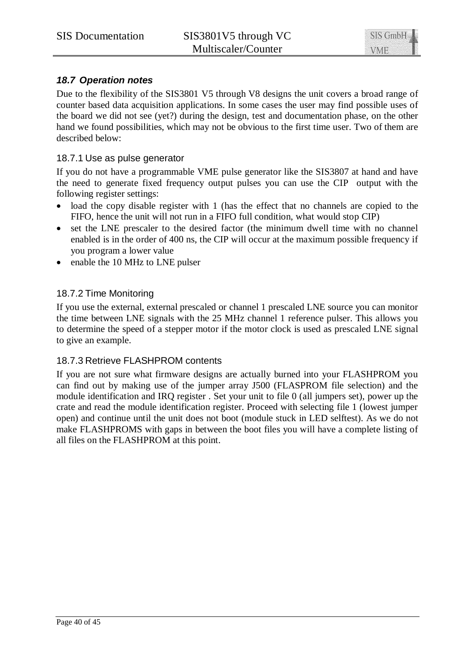# *18.7 Operation notes*

Due to the flexibility of the SIS3801 V5 through V8 designs the unit covers a broad range of counter based data acquisition applications. In some cases the user may find possible uses of the board we did not see (yet?) during the design, test and documentation phase, on the other hand we found possibilities, which may not be obvious to the first time user. Two of them are described below:

## 18.7.1 Use as pulse generator

If you do not have a programmable VME pulse generator like the SIS3807 at hand and have the need to generate fixed frequency output pulses you can use the CIP output with the following register settings:

- load the copy disable register with 1 (has the effect that no channels are copied to the FIFO, hence the unit will not run in a FIFO full condition, what would stop CIP)
- set the LNE prescaler to the desired factor (the minimum dwell time with no channel enabled is in the order of 400 ns, the CIP will occur at the maximum possible frequency if you program a lower value
- enable the 10 MHz to LNE pulser

## 18.7.2 Time Monitoring

If you use the external, external prescaled or channel 1 prescaled LNE source you can monitor the time between LNE signals with the 25 MHz channel 1 reference pulser. This allows you to determine the speed of a stepper motor if the motor clock is used as prescaled LNE signal to give an example.

## 18.7.3 Retrieve FLASHPROM contents

If you are not sure what firmware designs are actually burned into your FLASHPROM you can find out by making use of the jumper array J500 (FLASPROM file selection) and the module identification and IRQ register . Set your unit to file 0 (all jumpers set), power up the crate and read the module identification register. Proceed with selecting file 1 (lowest jumper open) and continue until the unit does not boot (module stuck in LED selftest). As we do not make FLASHPROMS with gaps in between the boot files you will have a complete listing of all files on the FLASHPROM at this point.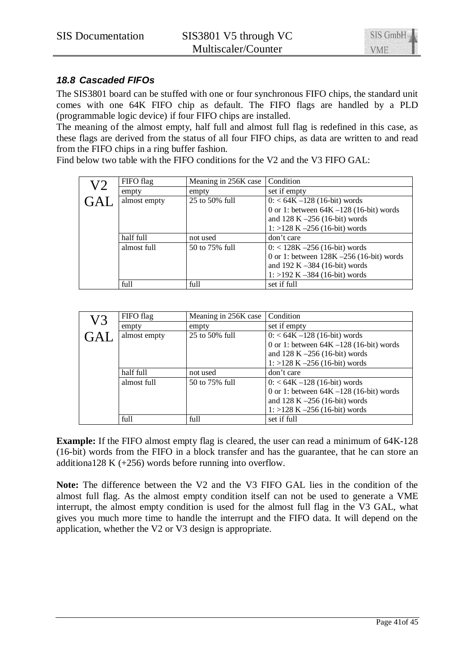

# *18.8 Cascaded FIFOs*

The SIS3801 board can be stuffed with one or four synchronous FIFO chips, the standard unit comes with one 64K FIFO chip as default. The FIFO flags are handled by a PLD (programmable logic device) if four FIFO chips are installed.

The meaning of the almost empty, half full and almost full flag is redefined in this case, as these flags are derived from the status of all four FIFO chips, as data are written to and read from the FIFO chips in a ring buffer fashion.

Find below two table with the FIFO conditions for the V2 and the V3 FIFO GAL:

| V2 | FIFO flag    | Meaning in 256K case | Condition                                   |
|----|--------------|----------------------|---------------------------------------------|
|    | empty        | empty                | set if empty                                |
|    | almost empty | 25 to 50% full       | $0: < 64K - 128$ (16-bit) words             |
|    |              |                      | 0 or 1: between $64K - 128$ (16-bit) words  |
|    |              |                      | and $128 K - 256 (16-bit)$ words            |
|    |              |                      | $1: >128$ K $-256$ (16-bit) words           |
|    | half full    | not used             | don't care                                  |
|    | almost full  | 50 to 75% full       | $0: < 128K - 256$ (16-bit) words            |
|    |              |                      | 0 or 1: between $128K - 256$ (16-bit) words |
|    |              |                      | and $192 K - 384 (16-bit) words$            |
|    |              |                      | $1: >192$ K $-384$ (16-bit) words           |
|    | full         | full                 | set if full                                 |

| V3 | FIFO flag    | Meaning in 256K case | Condition                                  |
|----|--------------|----------------------|--------------------------------------------|
|    | empty        | empty                | set if empty                               |
|    | almost empty | 25 to 50% full       | $0: < 64K - 128$ (16-bit) words            |
|    |              |                      | 0 or 1: between $64K - 128$ (16-bit) words |
|    |              |                      | and $128 K - 256 (16-bit)$ words           |
|    |              |                      | $1: >128$ K $-256$ (16-bit) words          |
|    | half full    | not used             | don't care                                 |
|    | almost full  | 50 to 75% full       | $0: < 64K - 128$ (16-bit) words            |
|    |              |                      | 0 or 1: between $64K - 128$ (16-bit) words |
|    |              |                      | and $128 K - 256 (16-bit) words$           |
|    |              |                      | $1: >128$ K $-256$ (16-bit) words          |
|    | full         | full                 | set if full                                |

**Example:** If the FIFO almost empty flag is cleared, the user can read a minimum of 64K-128 (16-bit) words from the FIFO in a block transfer and has the guarantee, that he can store an additiona128 K (+256) words before running into overflow.

**Note:** The difference between the V2 and the V3 FIFO GAL lies in the condition of the almost full flag. As the almost empty condition itself can not be used to generate a VME interrupt, the almost empty condition is used for the almost full flag in the V3 GAL, what gives you much more time to handle the interrupt and the FIFO data. It will depend on the application, whether the V2 or V3 design is appropriate.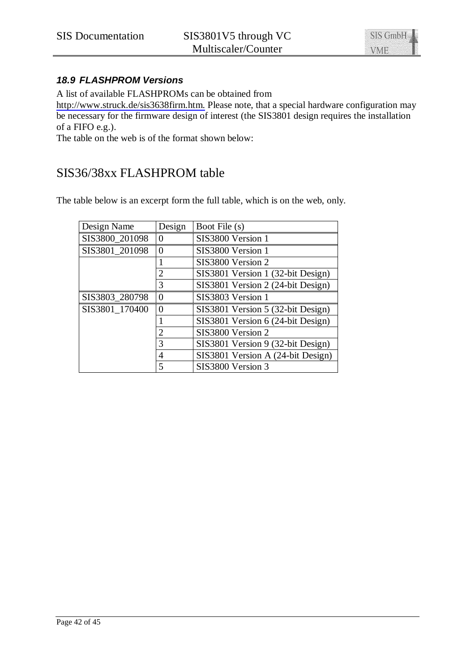

# *18.9 FLASHPROM Versions*

A list of available FLASHPROMs can be obtained from

<http://www.struck.de/sis3638firm.htm.> Please note, that a special hardware configuration may be necessary for the firmware design of interest (the SIS3801 design requires the installation of a FIFO e.g.).

The table on the web is of the format shown below:

# SIS36/38xx FLASHPROM table

The table below is an excerpt form the full table, which is on the web, only.

| Design Name    | Design         | Boot File (s)                     |
|----------------|----------------|-----------------------------------|
| SIS3800_201098 |                | SIS3800 Version 1                 |
| SIS3801_201098 | 0              | SIS3800 Version 1                 |
|                |                | SIS3800 Version 2                 |
|                | 2              | SIS3801 Version 1 (32-bit Design) |
|                | 3              | SIS3801 Version 2 (24-bit Design) |
| SIS3803_280798 | 0              | SIS3803 Version 1                 |
| SIS3801 170400 | 0              | SIS3801 Version 5 (32-bit Design) |
|                |                | SIS3801 Version 6 (24-bit Design) |
|                | $\overline{2}$ | SIS3800 Version 2                 |
|                | 3              | SIS3801 Version 9 (32-bit Design) |
|                | 4              | SIS3801 Version A (24-bit Design) |
|                | 5              | SIS3800 Version 3                 |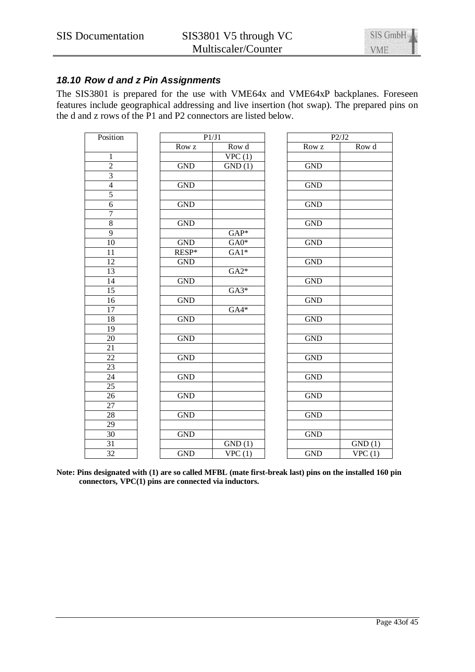

# *18.10 Row d and z Pin Assignments*

The SIS3801 is prepared for the use with VME64x and VME64xP backplanes. Foreseen features include geographical addressing and live insertion (hot swap). The prepared pins on the d and z rows of the P1 and P2 connectors are listed below.

| Position        |            | P1/J1  |                      | P2/J2                       |  |  |
|-----------------|------------|--------|----------------------|-----------------------------|--|--|
|                 | Row z      | Row d  | Row z                | Row d                       |  |  |
| $\mathbf{1}$    |            | VPC(1) |                      |                             |  |  |
| $\overline{2}$  | <b>GND</b> | GND(1) | <b>GND</b>           |                             |  |  |
| $\overline{3}$  |            |        |                      |                             |  |  |
| $\overline{4}$  | <b>GND</b> |        | <b>GND</b>           |                             |  |  |
| 5               |            |        |                      |                             |  |  |
| $\overline{6}$  | <b>GND</b> |        | <b>GND</b>           |                             |  |  |
| $\overline{7}$  |            |        |                      |                             |  |  |
| $\overline{8}$  | <b>GND</b> |        | <b>GND</b>           |                             |  |  |
| $\overline{9}$  |            | $GAP*$ |                      |                             |  |  |
| $\overline{10}$ | <b>GND</b> | $GA0*$ | <b>GND</b>           |                             |  |  |
| 11              | RESP*      | $GA1*$ |                      |                             |  |  |
| $\overline{12}$ | <b>GND</b> |        | <b>GND</b>           |                             |  |  |
| 13              |            | $GA2*$ |                      |                             |  |  |
| $\overline{14}$ | <b>GND</b> |        | <b>GND</b>           |                             |  |  |
| 15              |            | $GA3*$ |                      |                             |  |  |
| 16              | <b>GND</b> |        | <b>GND</b>           |                             |  |  |
| $\overline{17}$ |            | $GA4*$ |                      |                             |  |  |
| $\overline{18}$ | <b>GND</b> |        | <b>GND</b>           |                             |  |  |
| 19              |            |        |                      |                             |  |  |
| 20              | <b>GND</b> |        | <b>GND</b>           |                             |  |  |
| $\overline{21}$ |            |        |                      |                             |  |  |
| $\overline{22}$ | <b>GND</b> |        | <b>GND</b>           |                             |  |  |
| $\overline{23}$ |            |        |                      |                             |  |  |
| 24              | <b>GND</b> |        | <b>GND</b>           |                             |  |  |
| 25              |            |        |                      |                             |  |  |
| $\overline{26}$ | <b>GND</b> |        | $\operatorname{GND}$ |                             |  |  |
| 27              |            |        |                      |                             |  |  |
| $\overline{28}$ | <b>GND</b> |        | <b>GND</b>           |                             |  |  |
| $\overline{29}$ |            |        |                      |                             |  |  |
| 30              | <b>GND</b> |        | <b>GND</b>           |                             |  |  |
| 31              |            | GND(1) |                      | GND(1)                      |  |  |
| $\overline{32}$ | <b>GND</b> | VPC(1) | <b>GND</b>           | $\overline{\text{VPC (1)}}$ |  |  |

**Note: Pins designated with (1) are so called MFBL (mate first-break last) pins on the installed 160 pin connectors, VPC(1) pins are connected via inductors.**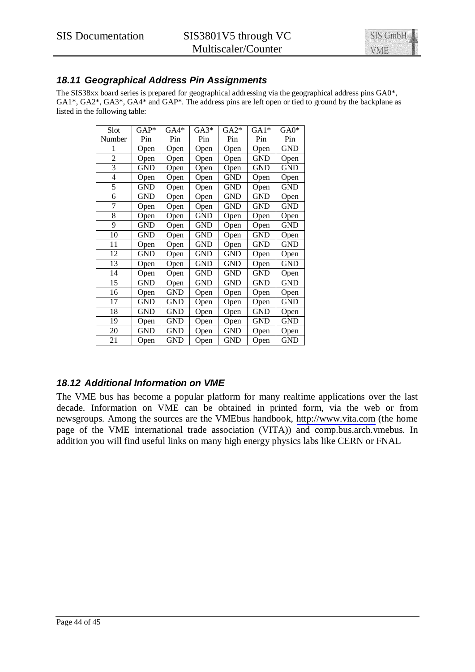

# *18.11 Geographical Address Pin Assignments*

The SIS38xx board series is prepared for geographical addressing via the geographical address pins GA0\*, GA1\*, GA2\*, GA3\*, GA4\* and GAP\*. The address pins are left open or tied to ground by the backplane as listed in the following table:

| Slot           | $GAP*$     | $GA4*$     | $GA3*$     | $GA2*$     | $GA1*$     | $GA0*$     |
|----------------|------------|------------|------------|------------|------------|------------|
| Number         | Pin        | Pin        | Pin        | Pin        | Pin        | Pin        |
| 1              | Open       | Open       | Open       | Open       | Open       | <b>GND</b> |
| $\overline{c}$ | Open       | Open       | Open       | Open       | GND        | Open       |
| 3              | <b>GND</b> | Open       | Open       | Open       | GND        | <b>GND</b> |
| $\overline{4}$ | Open       | Open       | Open       | <b>GND</b> | Open       | Open       |
| 5              | <b>GND</b> | Open       | Open       | <b>GND</b> | Open       | <b>GND</b> |
| 6              | <b>GND</b> | Open       | Open       | <b>GND</b> | <b>GND</b> | Open       |
| 7              | Open       | Open       | Open       | <b>GND</b> | <b>GND</b> | <b>GND</b> |
| 8              | Open       | Open       | GND        | Open       | Open       | Open       |
| 9              | GND        | Open       | GND        | Open       | Open       | <b>GND</b> |
| 10             | <b>GND</b> | Open       | <b>GND</b> | Open       | GND        | Open       |
| 11             | Open       | Open       | GND        | Open       | GND        | <b>GND</b> |
| 12             | <b>GND</b> | Open       | <b>GND</b> | <b>GND</b> | Open       | Open       |
| 13             | Open       | Open       | GND        | <b>GND</b> | Open       | GND        |
| 14             | Open       | Open       | <b>GND</b> | <b>GND</b> | GND        | Open       |
| 15             | <b>GND</b> | Open       | GND        | <b>GND</b> | <b>GND</b> | <b>GND</b> |
| 16             | Open       | GND        | Open       | Open       | Open       | Open       |
| 17             | GND        | GND        | Open       | Open       | Open       | <b>GND</b> |
| 18             | GND        | GND        | Open       | Open       | GND        | Open       |
| 19             | Open       | GND        | Open       | Open       | GND        | GND        |
| 20             | <b>GND</b> | <b>GND</b> | Open       | <b>GND</b> | Open       | Open       |
| 21             | Open       | <b>GND</b> | Open       | <b>GND</b> | Open       | GND        |

# *18.12 Additional Information on VME*

The VME bus has become a popular platform for many realtime applications over the last decade. Information on VME can be obtained in printed form, via the web or from newsgroups. Among the sources are the VMEbus handbook, <http://www.vita.com>(the home page of the VME international trade association (VITA)) and comp.bus.arch.vmebus. In addition you will find useful links on many high energy physics labs like CERN or FNAL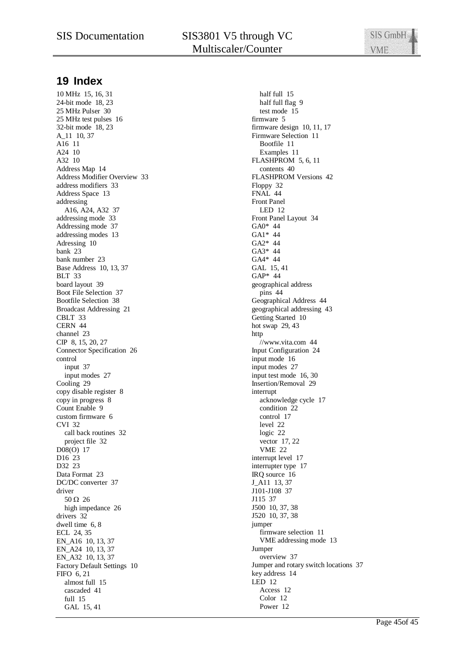# SIS Documentation SIS3801 V5 through VC Multiscaler/Counter

SIS GmbH **VME** 

# **19 Index**

10 MHz 15, 16, 31 24-bit mode 18, 23 25 MHz Pulser 30 25 MHz test pulses 16 32-bit mode 18, 23 A\_11 10, 37 A16 11 A24 10 A32 10 Address Map 14 Address Modifier Overview 33 address modifiers 33 Address Space 13 addressing A16, A24, A32 37 addressing mode 33 Addressing mode 37 addressing modes 13 Adressing 10 bank 23 bank number 23 Base Address 10, 13, 37 BLT 33 board layout 39 Boot File Selection 37 Bootfile Selection 38 Broadcast Addressing 21 CBLT 33 CERN 44 channel 23 CIP 8, 15, 20, 27 Connector Specification 26 control input 37 input modes 27 Cooling 29 copy disable register 8 copy in progress 8 Count Enable 9 custom firmware 6 CVI 32 call back routines 32 project file 32 D08(O) 17 D<sub>16</sub> 23 D32 23 Data Format 23 DC/DC converter 37 driver  $50 \Omega$  26 high impedance 26 drivers 32 dwell time 6, 8 ECL 24, 35 EN\_A16 10, 13, 37 EN A24 10, 13, 37 EN\_A32 10, 13, 37 Factory Default Settings 10 FIFO 6, 21 almost full 15 cascaded 41 full 15 GAL 15, 41

half full 15 half full flag 9 test mode 15 firmware 5 firmware design 10, 11, 17 Firmware Selection 11 Bootfile 11 Examples 11 FLASHPROM 5, 6, 11 contents 40 FLASHPROM Versions 42 Floppy 32 FNAL 44 Front Panel LED 12 Front Panel Layout 34 GA0\* 44 GA1\* 44 GA2\* 44 GA3\* 44 GA4\* 44 GAL 15, 41 GAP\* 44 geographical address pins 44 Geographical Address 44 geographical addressing 43 Getting Started 10 hot swap 29, 43 http //www.vita.com 44 Input Configuration 24 input mode 16 input modes 27 input test mode 16, 30 Insertion/Removal 29 interrupt acknowledge cycle 17 condition 22 control 17 level 22 logic 22 vector 17, 22 VME 22 interrupt level 17 interrupter type 17 IRQ source 16 J\_A11 13, 37 J101-J108 37 J115 37 J500 10, 37, 38 J520 10, 37, 38 jumper firmware selection 11 VME addressing mode 13 Jumper overview 37 Jumper and rotary switch locations 37 key address 14 LED 12 Access 12 Color 12 Power 12